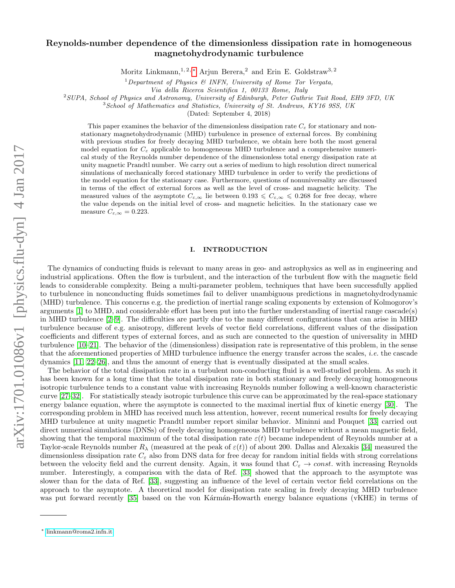# Reynolds-number dependence of the dimensionless dissipation rate in homogeneous magnetohydrodynamic turbulence

Moritz Linkmann,<sup>1, 2, [∗](#page-0-0)</sup> Arjun Berera,<sup>2</sup> and Erin E. Goldstraw<sup>3, 2</sup>

<sup>1</sup>Department of Physics & INFN, University of Rome Tor Vergata,

Via della Ricerca Scientifica 1, 00133 Rome, Italy

<sup>2</sup>SUPA, School of Physics and Astronomy, University of Edinburgh, Peter Guthrie Tait Road, EH9 3FD, UK

<sup>3</sup> School of Mathematics and Statistics, University of St. Andrews, KY16 9SS, UK

(Dated: September 4, 2018)

This paper examines the behavior of the dimensionless dissipation rate  $C_{\varepsilon}$  for stationary and nonstationary magnetohydrodynamic (MHD) turbulence in presence of external forces. By combining with previous studies for freely decaying MHD turbulence, we obtain here both the most general model equation for  $C_{\varepsilon}$  applicable to homogeneous MHD turbulence and a comprehensive numerical study of the Reynolds number dependence of the dimensionless total energy dissipation rate at unity magnetic Prandtl number. We carry out a series of medium to high resolution direct numerical simulations of mechanically forced stationary MHD turbulence in order to verify the predictions of the model equation for the stationary case. Furthermore, questions of nonuniversality are discussed in terms of the effect of external forces as well as the level of cross- and magnetic helicity. The measured values of the asymptote  $C_{\varepsilon,\infty}$  lie between  $0.193 \leq C_{\varepsilon,\infty} \leq 0.268$  for free decay, where the value depends on the initial level of cross- and magnetic helicities. In the stationary case we measure  $C_{\varepsilon,\infty} = 0.223$ .

### I. INTRODUCTION

The dynamics of conducting fluids is relevant to many areas in geo- and astrophysics as well as in engineering and industrial applications. Often the flow is turbulent, and the interaction of the turbulent flow with the magnetic field leads to considerable complexity. Being a multi-parameter problem, techniques that have been successfully applied to turbulence in nonconducting fluids sometimes fail to deliver unambiguous predictions in magnetohydrodynamic (MHD) turbulence. This concerns e.g. the prediction of inertial range scaling exponents by extension of Kolmogorov's arguments [\[1\]](#page-15-0) to MHD, and considerable effort has been put into the further understanding of inertial range cascade(s) in MHD turbulence [\[2](#page-15-1)[–9\]](#page-15-2). The difficulties are partly due to the many different configurations that can arise in MHD turbulence because of e.g. anisotropy, different levels of vector field correlations, different values of the dissipation coefficients and different types of external forces, and as such are connected to the question of universality in MHD turbulence [\[10–](#page-15-3)[21\]](#page-16-0). The behavior of the (dimensionless) dissipation rate is representative of this problem, in the sense that the aforementioned properties of MHD turbulence influence the energy transfer across the scales, i.e. the cascade dynamics [\[11,](#page-15-4) [22–](#page-16-1)[26\]](#page-16-2), and thus the amount of energy that is eventually dissipated at the small scales.

The behavior of the total dissipation rate in a turbulent non-conducting fluid is a well-studied problem. As such it has been known for a long time that the total dissipation rate in both stationary and freely decaying homogeneous isotropic turbulence tends to a constant value with increasing Reynolds number following a well-known characteristic curve [\[27](#page-16-3)[–32\]](#page-16-4). For statistically steady isotropic turbulence this curve can be approximated by the real-space stationary energy balance equation, where the asymptote is connected to the maximal inertial flux of kinetic energy [\[30\]](#page-16-5). The corresponding problem in MHD has received much less attention, however, recent numerical results for freely decaying MHD turbulence at unity magnetic Prandtl number report similar behavior. Mininni and Pouquet [\[33\]](#page-16-6) carried out direct numerical simulations (DNSs) of freely decaying homogeneous MHD turbulence without a mean magnetic field, showing that the temporal maximum of the total dissipation rate  $\varepsilon(t)$  became independent of Reynolds number at a Taylor-scale Reynolds number  $R_{\lambda}$  (measured at the peak of  $\varepsilon(t)$ ) of about 200. Dallas and Alexakis [\[34\]](#page-16-7) measured the dimensionless dissipation rate  $C_{\varepsilon}$  also from DNS data for free decay for random initial fields with strong correlations between the velocity field and the current density. Again, it was found that  $C_{\varepsilon} \to const.$  with increasing Reynolds number. Interestingly, a comparison with the data of Ref. [\[33\]](#page-16-6) showed that the approach to the asymptote was slower than for the data of Ref. [\[33\]](#page-16-6), suggesting an influence of the level of certain vector field correlations on the approach to the asymptote. A theoretical model for dissipation rate scaling in freely decaying MHD turbulence was put forward recently [\[35\]](#page-16-8) based on the von Karman-Howarth energy balance equations (vKHE) in terms of

<span id="page-0-0"></span><sup>∗</sup> [linkmann@roma2.infn.it](mailto:linkmann@roma2.infn.it)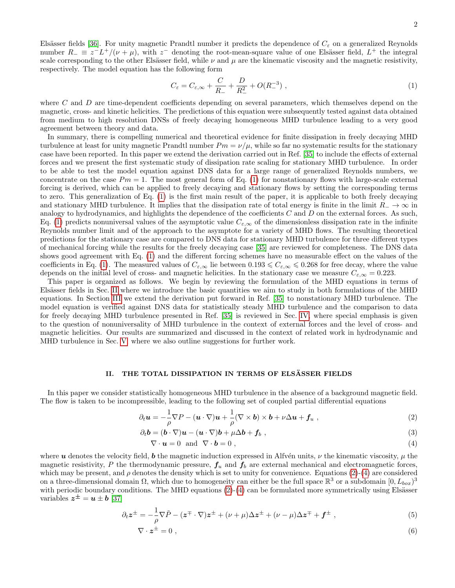Elsässer fields [\[36\]](#page-16-9). For unity magnetic Prandtl number it predicts the dependence of  $C_{\varepsilon}$  on a generalized Reynolds number  $R_{-} \equiv z^{-} L^{+}/(\nu + \mu)$ , with  $z^{-}$  denoting the root-mean-square value of one Elsässer field,  $L^{+}$  the integral scale corresponding to the other Elsässer field, while  $\nu$  and  $\mu$  are the kinematic viscosity and the magnetic resistivity, respectively. The model equation has the following form

<span id="page-1-0"></span>
$$
C_{\varepsilon} = C_{\varepsilon,\infty} + \frac{C}{R_{-}} + \frac{D}{R_{-}^{2}} + O(R_{-}^{-3}), \qquad (1)
$$

where  $C$  and  $D$  are time-dependent coefficients depending on several parameters, which themselves depend on the magnetic, cross- and kinetic helicities. The predictions of this equation were subsequently tested against data obtained from medium to high resolution DNSs of freely decaying homogeneous MHD turbulence leading to a very good agreement between theory and data.

In summary, there is compelling numerical and theoretical evidence for finite dissipation in freely decaying MHD turbulence at least for unity magnetic Prandtl number  $Pm = \nu/\mu$ , while so far no systematic results for the stationary case have been reported. In this paper we extend the derivation carried out in Ref. [\[35\]](#page-16-8) to include the effects of external forces and we present the first systematic study of dissipation rate scaling for stationary MHD turbulence. In order to be able to test the model equation against DNS data for a large range of generalized Reynolds numbers, we concentrate on the case  $Pm = 1$ . The most general form of Eq. [\(1\)](#page-1-0) for nonstationary flows with large-scale external forcing is derived, which can be applied to freely decaying and stationary flows by setting the corresponding terms to zero. This generalization of Eq. [\(1\)](#page-1-0) is the first main result of the paper, it is applicable to both freely decaying and stationary MHD turbulence. It implies that the dissipation rate of total energy is finite in the limit  $R_-\to\infty$  in analogy to hydrodynamics, and highlights the dependence of the coefficients  $C$  and  $D$  on the external forces. As such, Eq. [\(1\)](#page-1-0) predicts nonuniversal values of the asymptotic value  $C_{\varepsilon,\infty}$  of the dimensionless dissipation rate in the infinite Reynolds number limit and of the approach to the asymptote for a variety of MHD flows. The resulting theoretical predictions for the stationary case are compared to DNS data for stationary MHD turbulence for three different types of mechanical forcing while the results for the freely decaying case [\[35\]](#page-16-8) are reviewed for completeness. The DNS data shows good agreement with Eq. [\(1\)](#page-1-0) and the different forcing schemes have no measurable effect on the values of the coefficients in Eq. [\(1\)](#page-1-0). The measured values of  $C_{\varepsilon,\infty}$  lie between  $0.193 \leq C_{\varepsilon,\infty} \leq 0.268$  for free decay, where the value depends on the initial level of cross- and magnetic helicities. In the stationary case we measure  $C_{\varepsilon,\infty} = 0.223$ .

This paper is organized as follows. We begin by reviewing the formulation of the MHD equations in terms of Elsässer fields in Sec. [II](#page-1-1) where we introduce the basic quantities we aim to study in both formulations of the MHD equations. In Section [III](#page-3-0) we extend the derivation put forward in Ref. [\[35\]](#page-16-8) to nonstationary MHD turbulence. The model equation is verified against DNS data for statistically steady MHD turbulence and the comparison to data for freely decaying MHD turbulence presented in Ref. [\[35\]](#page-16-8) is reviewed in Sec. [IV,](#page-9-0) where special emphasis is given to the question of nonuniversality of MHD turbulence in the context of external forces and the level of cross- and magnetic helicities. Our results are summarized and discussed in the context of related work in hydrodynamic and MHD turbulence in Sec. [V,](#page-14-0) where we also outline suggestions for further work.

# <span id="page-1-1"></span>II. THE TOTAL DISSIPATION IN TERMS OF ELSÄSSER FIELDS

In this paper we consider statistically homogeneous MHD turbulence in the absence of a background magnetic field. The flow is taken to be incompressible, leading to the following set of coupled partial differential equations

$$
\partial_t \mathbf{u} = -\frac{1}{\rho} \nabla P - (\mathbf{u} \cdot \nabla) \mathbf{u} + \frac{1}{\rho} (\nabla \times \mathbf{b}) \times \mathbf{b} + \nu \Delta \mathbf{u} + \mathbf{f}_u ,
$$
\n(2)

$$
\partial_t \mathbf{b} = (\mathbf{b} \cdot \nabla) \mathbf{u} - (\mathbf{u} \cdot \nabla) \mathbf{b} + \mu \Delta \mathbf{b} + \mathbf{f}_b , \qquad (3)
$$

<span id="page-1-3"></span><span id="page-1-2"></span>
$$
\nabla \cdot \mathbf{u} = 0 \text{ and } \nabla \cdot \mathbf{b} = 0 , \qquad (4)
$$

where u denotes the velocity field, b the magnetic induction expressed in Alfvén units,  $\nu$  the kinematic viscosity,  $\mu$  the magnetic resistivity, P the thermodynamic pressure,  $f_u$  and  $f_b$  are external mechanical and electromagnetic forces, which may be present, and  $\rho$  denotes the density which is set to unity for convenience. Equations [\(2\)](#page-1-2)-[\(4\)](#page-1-3) are considered on a three-dimensional domain  $\Omega$ , which due to homogeneity can either be the full space  $\mathbb{R}^3$  or a subdomain  $[0, L_{box})^3$ with periodic boundary conditions. The MHD equations  $(2)-(4)$  $(2)-(4)$  $(2)-(4)$  can be formulated more symmetrically using Elsässer variables  $\boldsymbol{z}^{\pm} = \boldsymbol{u} \pm \boldsymbol{b}$  [\[37\]](#page-16-10)

$$
\partial_t \mathbf{z}^{\pm} = -\frac{1}{\rho} \nabla \tilde{P} - (\mathbf{z}^{\mp} \cdot \nabla) \mathbf{z}^{\pm} + (\nu + \mu) \Delta \mathbf{z}^{\pm} + (\nu - \mu) \Delta \mathbf{z}^{\mp} + \mathbf{f}^{\pm} , \qquad (5)
$$

$$
\nabla \cdot \mathbf{z}^{\pm} = 0 \tag{6}
$$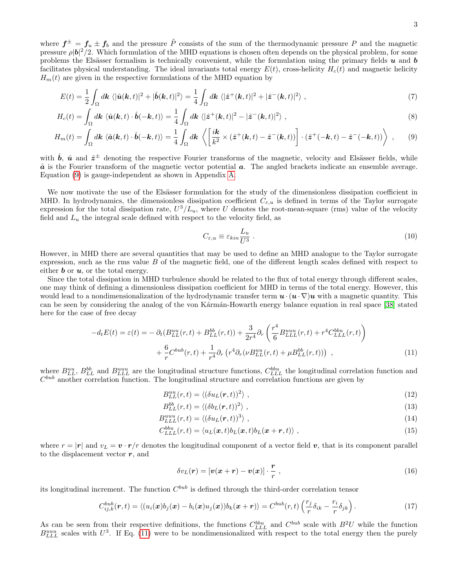where  $f^{\pm} = f_u \pm f_b$  and the pressure  $\tilde{P}$  consists of the sum of the thermodynamic pressure P and the magnetic pressure  $\rho |\mathbf{b}|^2/2$ . Which formulation of the MHD equations is chosen often depends on the physical problem, for some problems the Elsässer formalism is technically convenient, while the formulation using the primary fields  $u$  and  $b$ facilitates physical understanding. The ideal invariants total energy  $E(t)$ , cross-helicity  $H_c(t)$  and magnetic helicity  $H_m(t)$  are given in the respective formulations of the MHD equation by

$$
E(t) = \frac{1}{2} \int_{\Omega} d\mathbf{k} \langle |\hat{\mathbf{u}}(\mathbf{k},t)|^2 + |\hat{\mathbf{b}}(\mathbf{k},t)|^2 \rangle = \frac{1}{4} \int_{\Omega} d\mathbf{k} \langle |\hat{\mathbf{z}}^+(\mathbf{k},t)|^2 + |\hat{\mathbf{z}}^-(\mathbf{k},t)|^2 \rangle , \qquad (7)
$$

$$
H_c(t) = \int_{\Omega} d\mathbf{k} \langle \hat{\mathbf{u}}(\mathbf{k}, t) \cdot \hat{\mathbf{b}}(-\mathbf{k}, t) \rangle = \frac{1}{4} \int_{\Omega} d\mathbf{k} \langle |\hat{\mathbf{z}}^+(\mathbf{k}, t)|^2 - |\hat{\mathbf{z}}^-(\mathbf{k}, t)|^2 \rangle ,
$$
\n(8)

$$
H_m(t) = \int_{\Omega} d\mathbf{k} \, \langle \hat{\mathbf{a}}(\mathbf{k},t) \cdot \hat{\mathbf{b}}(-\mathbf{k},t) \rangle = \frac{1}{4} \int_{\Omega} d\mathbf{k} \, \left\langle \left[ \frac{i\mathbf{k}}{k^2} \times (\hat{\mathbf{z}}^+(\mathbf{k},t) - \hat{\mathbf{z}}^-(\mathbf{k},t)) \right] \cdot (\hat{\mathbf{z}}^+(-\mathbf{k},t) - \hat{\mathbf{z}}^-(-\mathbf{k},t)) \right\rangle \;, \tag{9}
$$

with  $\hat{b}$ ,  $\hat{u}$  and  $\hat{z}^{\pm}$  denoting the respective Fourier transforms of the magnetic, velocity and Elsässer fields, while  $\hat{a}$  is the Fourier transform of the magnetic vector potential  $a$ . The angled brackets indicate an ensemble average. Equation [\(9\)](#page-2-0) is gauge-independent as shown in Appendix [A.](#page-15-5)

We now motivate the use of the Elsässer formulation for the study of the dimensionless dissipation coefficient in MHD. In hydrodynamics, the dimensionless dissipation coefficient  $C_{\varepsilon,u}$  is defined in terms of the Taylor surrogate expression for the total dissipation rate,  $U^3/L_u$ , where U denotes the root-mean-square (rms) value of the velocity field and  $L<sub>u</sub>$  the integral scale defined with respect to the velocity field, as

<span id="page-2-1"></span><span id="page-2-0"></span>
$$
C_{\varepsilon,u} \equiv \varepsilon_{kin} \frac{L_u}{U^3} \tag{10}
$$

However, in MHD there are several quantities that may be used to define an MHD analogue to the Taylor surrogate expression, such as the rms value B of the magnetic field, one of the different length scales defined with respect to either **b** or  $u$ , or the total energy.

Since the total dissipation in MHD turbulence should be related to the flux of total energy through different scales, one may think of defining a dimensionless dissipation coefficient for MHD in terms of the total energy. However, this would lead to a nondimensionalization of the hydrodynamic transfer term  $u \cdot (u \cdot \nabla)u$  with a magnetic quantity. This can be seen by considering the analog of the von Kármán-Howarth energy balance equation in real space [\[38\]](#page-16-11) stated here for the case of free decay

$$
-d_t E(t) = \varepsilon(t) = -\partial_t (B_{LL}^{uu}(r,t) + B_{LL}^{bb}(r,t)) + \frac{3}{2r^4} \partial_r \left( \frac{r^4}{6} B_{LLL}^{uuu}(r,t) + r^4 C_{LLL}^{bbu}(r,t) \right) + \frac{6}{r} C^{bub}(r,t) + \frac{1}{r^4} \partial_r \left( r^4 \partial_r (\nu B_{LL}^{uu}(r,t) + \mu B_{LL}^{bb}(r,t)) \right) ,
$$
(11)

where  $B_{LL}^{uu}$ ,  $B_{LL}^{bb}$  and  $B_{LLL}^{uu}$  are the longitudinal structure functions,  $C_{LLL}^{bbu}$  the longitudinal correlation function and  $C^{bub}$  another correlation function. The longitudinal structure and correlation functions are given by

$$
B_{LL}^{uu}(r,t) = \langle (\delta u_L(\mathbf{r},t))^2 \rangle \tag{12}
$$

$$
B_{LL}^{bb}(r,t) = \langle (\delta b_L(\mathbf{r},t))^2 \rangle , \qquad (13)
$$

$$
B_{LLL}^{uuu}(r,t) = \langle (\delta u_L(\mathbf{r},t))^3 \rangle , \qquad (14)
$$

$$
C_{LLL}^{bbu}(r,t) = \langle u_L(\boldsymbol{x},t) b_L(\boldsymbol{x},t) b_L(\boldsymbol{x}+\boldsymbol{r},t) \rangle \;, \tag{15}
$$

where  $r = |\mathbf{r}|$  and  $v_L = \mathbf{v} \cdot \mathbf{r}/r$  denotes the longitudinal component of a vector field  $\mathbf{v}$ , that is its component parallel to the displacement vector  $r$ , and

$$
\delta v_L(\mathbf{r}) = [\mathbf{v}(\mathbf{x} + \mathbf{r}) - \mathbf{v}(\mathbf{x})] \cdot \frac{\mathbf{r}}{r}, \qquad (16)
$$

its longitudinal increment. The function  $C^{bub}$  is defined through the third-order correlation tensor

$$
C_{ij,k}^{bub}(\boldsymbol{r},t) = \langle (u_i(\boldsymbol{x})b_j(\boldsymbol{x}) - b_i(\boldsymbol{x})u_j(\boldsymbol{x}))b_k(\boldsymbol{x}+\boldsymbol{r}) \rangle = C^{bub}(r,t)\left(\frac{r_j}{r}\delta_{ik} - \frac{r_i}{r}\delta_{jk}\right).
$$
\n(17)

As can be seen from their respective definitions, the functions  $C_{LLL}^{bbu}$  and  $C^{bub}$  scale with  $B^2U$  while the function  $B_{LLL}^{uuu}$  scales with  $U^3$ . If Eq. [\(11\)](#page-2-1) were to be nondimensionalized with respect to the total energy then the purely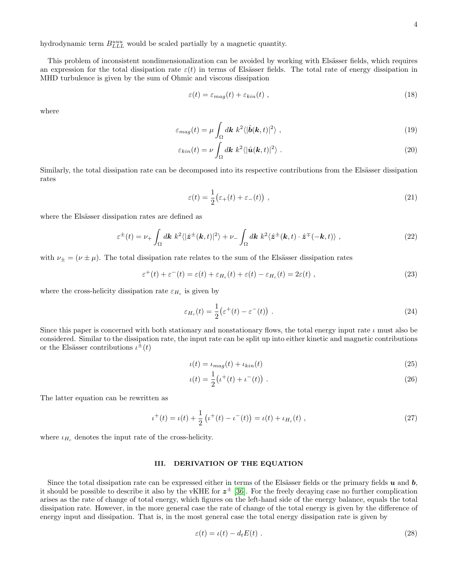hydrodynamic term  $B_{LLL}^{uuu}$  would be scaled partially by a magnetic quantity.

This problem of inconsistent nondimensionalization can be avoided by working with Elsässer fields, which requires an expression for the total dissipation rate  $\varepsilon(t)$  in terms of Elsässer fields. The total rate of energy dissipation in MHD turbulence is given by the sum of Ohmic and viscous dissipation

$$
\varepsilon(t) = \varepsilon_{mag}(t) + \varepsilon_{kin}(t) \tag{18}
$$

where

$$
\varepsilon_{mag}(t) = \mu \int_{\Omega} d\mathbf{k} \; k^2 \langle |\hat{\mathbf{b}}(\mathbf{k}, t)|^2 \rangle \; , \tag{19}
$$

$$
\varepsilon_{kin}(t) = \nu \int_{\Omega} d\mathbf{k} \; k^2 \langle |\hat{\mathbf{u}}(\mathbf{k}, t)|^2 \rangle \; . \tag{20}
$$

Similarly, the total dissipation rate can be decomposed into its respective contributions from the Elsässer dissipation rates

$$
\varepsilon(t) = \frac{1}{2} \big( \varepsilon_+(t) + \varepsilon_-(t) \big) \tag{21}
$$

where the Elsässer dissipation rates are defined as

$$
\varepsilon^{\pm}(t) = \nu_{+} \int_{\Omega} d\mathbf{k} \; k^{2} \langle |\hat{\mathbf{z}}^{\pm}(\mathbf{k},t)|^{2} \rangle + \nu_{-} \int_{\Omega} d\mathbf{k} \; k^{2} \langle \hat{\mathbf{z}}^{\pm}(\mathbf{k},t) \cdot \hat{\mathbf{z}}^{\mp}(-\mathbf{k},t) \rangle , \tag{22}
$$

with  $\nu_{\pm} = (\nu \pm \mu)$ . The total dissipation rate relates to the sum of the Elsässer dissipation rates

$$
\varepsilon^{+}(t) + \varepsilon^{-}(t) = \varepsilon(t) + \varepsilon_{H_c}(t) + \varepsilon(t) - \varepsilon_{H_c}(t) = 2\varepsilon(t) , \qquad (23)
$$

where the cross-helicity dissipation rate  $\varepsilon_{H_c}$  is given by

$$
\varepsilon_{H_c}(t) = \frac{1}{2} \left( \varepsilon^+(t) - \varepsilon^-(t) \right) \,. \tag{24}
$$

Since this paper is concerned with both stationary and nonstationary flows, the total energy input rate  $\iota$  must also be considered. Similar to the dissipation rate, the input rate can be split up into either kinetic and magnetic contributions or the Elsässer contributions  $\iota^{\pm}(t)$ 

$$
u(t) = \iota_{mag}(t) + \iota_{kin}(t) \tag{25}
$$

$$
u(t) = \frac{1}{2} (t^+(t) + t^-(t)) \tag{26}
$$

The latter equation can be rewritten as

$$
\iota^{+}(t) = \iota(t) + \frac{1}{2} \left( \iota^{+}(t) - \iota^{-}(t) \right) = \iota(t) + \iota_{H_c}(t) , \qquad (27)
$$

where  $\iota_{H_c}$  denotes the input rate of the cross-helicity.

### <span id="page-3-0"></span>III. DERIVATION OF THE EQUATION

Since the total dissipation rate can be expressed either in terms of the Elsässer fields or the primary fields  $u$  and  $b$ , it should be possible to describe it also by the vKHE for  $z^{\pm}$  [\[36\]](#page-16-9). For the freely decaying case no further complication arises as the rate of change of total energy, which figures on the left-hand side of the energy balance, equals the total dissipation rate. However, in the more general case the rate of change of the total energy is given by the difference of energy input and dissipation. That is, in the most general case the total energy dissipation rate is given by

$$
\varepsilon(t) = \iota(t) - d_t E(t) \tag{28}
$$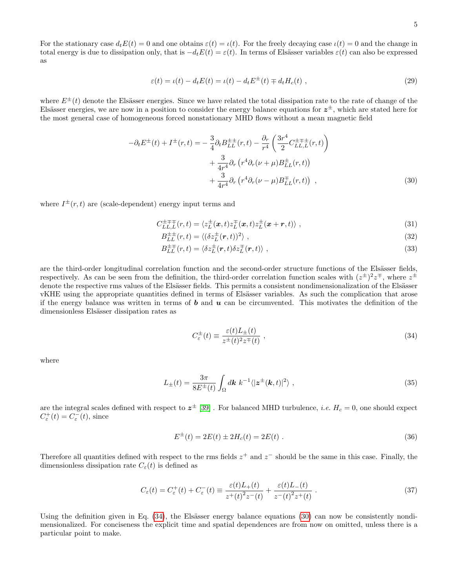For the stationary case  $d_t E(t) = 0$  and one obtains  $\varepsilon(t) = \iota(t)$ . For the freely decaying case  $\iota(t) = 0$  and the change in total energy is due to dissipation only, that is  $-d_t E(t) = \varepsilon(t)$ . In terms of Elsässer variables  $\varepsilon(t)$  can also be expressed as

$$
\varepsilon(t) = \iota(t) - d_t E(t) = \iota(t) - d_t E^{\pm}(t) \mp d_t H_c(t) , \qquad (29)
$$

where  $E^{\pm}(t)$  denote the Elsässer energies. Since we have related the total dissipation rate to the rate of change of the Elsässer energies, we are now in a position to consider the energy balance equations for  $z^{\pm}$ , which are stated here for the most general case of homogeneous forced nonstationary MHD flows without a mean magnetic field

$$
-\partial_t E^{\pm}(t) + I^{\pm}(r,t) = -\frac{3}{4} \partial_t B_{LL}^{\pm \pm}(r,t) - \frac{\partial_r}{r^4} \left( \frac{3r^4}{2} C_{LL,L}^{\pm \mp \pm}(r,t) \right) + \frac{3}{4r^4} \partial_r \left( r^4 \partial_r (\nu + \mu) B_{LL}^{\pm}(r,t) \right) + \frac{3}{4r^4} \partial_r \left( r^4 \partial_r (\nu - \mu) B_{LL}^{\mp}(r,t) \right) ,
$$
(30)

where  $I^{\pm}(r,t)$  are (scale-dependent) energy input terms and

$$
C_{LL,L}^{\pm \mp \mp}(r,t) = \langle z_L^{\pm}(\mathbf{x},t) z_L^{\mp}(\mathbf{x},t) z_L^{\pm}(\mathbf{x}+\mathbf{r},t) \rangle ,
$$
\n(31)

<span id="page-4-1"></span>
$$
B_{LL}^{\pm\pm}(r,t) = \langle (\delta z_L^{\pm}(\mathbf{r},t))^2 \rangle , \qquad (32)
$$

$$
B_{LL}^{\pm \mp}(r,t) = \langle \delta z_L^{\pm}(\mathbf{r},t) \delta z_L^{\mp}(\mathbf{r},t) \rangle \tag{33}
$$

are the third-order longitudinal correlation function and the second-order structure functions of the Elsässer fields, respectively. As can be seen from the definition, the third-order correlation function scales with  $(z^{\pm})^2 z^{\mp}$ , where  $z^{\pm}$ denote the respective rms values of the Elsässer fields. This permits a consistent nondimensionalization of the Elsässer vKHE using the appropriate quantities defined in terms of Elsässer variables. As such the complication that arose if the energy balance was written in terms of  $\boldsymbol{b}$  and  $\boldsymbol{u}$  can be circumvented. This motivates the definition of the dimensionless Elsässer dissipation rates as

<span id="page-4-0"></span>
$$
C_{\varepsilon}^{\pm}(t) \equiv \frac{\varepsilon(t)L_{\pm}(t)}{z^{\pm}(t)^{2}z^{\mp}(t)},
$$
\n(34)

where

$$
L_{\pm}(t) = \frac{3\pi}{8E^{\pm}(t)} \int_{\Omega} d\mathbf{k} \; k^{-1} \langle |\mathbf{z}^{\pm}(\mathbf{k},t)|^2 \rangle \; , \tag{35}
$$

are the integral scales defined with respect to  $z^{\pm}$  [\[39\]](#page-16-12). For balanced MHD turbulence, *i.e.*  $H_c = 0$ , one should expect  $C_{\varepsilon}^{+}(t) = C_{\varepsilon}^{-}(t)$ , since

$$
E^{\pm}(t) = 2E(t) \pm 2H_c(t) = 2E(t) .
$$
\n(36)

Therefore all quantities defined with respect to the rms fields  $z^+$  and  $z^-$  should be the same in this case. Finally, the dimensionless dissipation rate  $C_{\varepsilon}(t)$  is defined as

<span id="page-4-2"></span>
$$
C_{\varepsilon}(t) = C_{\varepsilon}^{+}(t) + C_{\varepsilon}^{-}(t) \equiv \frac{\varepsilon(t)L_{+}(t)}{z^{+}(t)^{2}z^{-}(t)} + \frac{\varepsilon(t)L_{-}(t)}{z^{-}(t)^{2}z^{+}(t)}.
$$
\n(37)

Using the definition given in Eq.  $(34)$ , the Elsässer energy balance equations  $(30)$  can now be consistently nondimensionalized. For conciseness the explicit time and spatial dependences are from now on omitted, unless there is a particular point to make.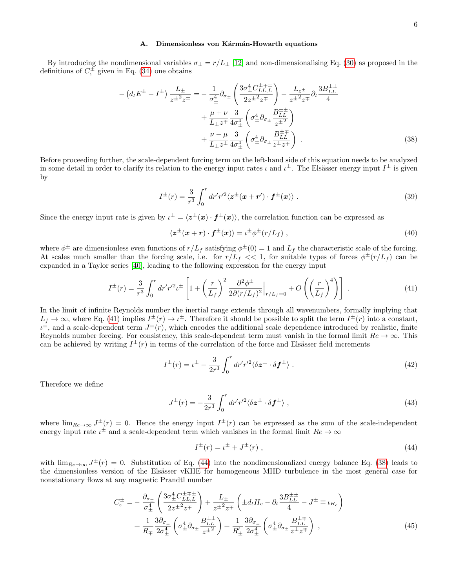### A. Dimensionless von Kármán-Howarth equations

By introducing the nondimensional variables  $\sigma_{\pm} = r/L_{\pm}$  [\[12\]](#page-16-13) and non-dimensionalising Eq. [\(30\)](#page-4-1) as proposed in the definitions of  $C_{\varepsilon}^{\pm}$  given in Eq. [\(34\)](#page-4-0) one obtains

$$
-\left(d_{t}E^{\pm} - I^{\pm}\right) \frac{L_{\pm}}{z^{\pm 2}z^{\mp}} = -\frac{1}{\sigma_{\pm}^{4}} \partial_{\sigma_{\pm}} \left(\frac{3\sigma_{\pm}^{4}C_{LL,L}^{\pm\mp}}{2z^{\pm 2}z^{\mp}}\right) - \frac{L_{z^{\pm}}}{z^{\pm 2}z^{\mp}} \partial_{t} \frac{3B_{LL}^{\pm\pm}}{4} + \frac{\mu + \nu}{L_{\pm}z^{\mp}} \frac{3}{4\sigma_{\pm}^{4}} \left(\sigma_{\pm}^{4} \partial_{\sigma_{\pm}} \frac{B_{LL}^{\pm\pm}}{z^{\pm 2}}\right) + \frac{\nu - \mu}{L_{\pm}z^{\pm}} \frac{3}{4\sigma_{\pm}^{4}} \left(\sigma_{\pm}^{4} \partial_{\sigma_{\pm}} \frac{B_{LL}^{\pm\mp}}{z^{\pm}z^{\mp}}\right)
$$
 (38)

Before proceeding further, the scale-dependent forcing term on the left-hand side of this equation needs to be analyzed in some detail in order to clarify its relation to the energy input rates  $\iota$  and  $\iota^{\pm}$ . The Elsässer energy input  $I^{\pm}$  is given by

<span id="page-5-2"></span>
$$
I^{\pm}(r) = \frac{3}{r^3} \int_0^r dr' r'^2 \langle \mathbf{z}^{\pm}(\mathbf{x} + \mathbf{r}') \cdot \mathbf{f}^{\pm}(\mathbf{x}) \rangle . \tag{39}
$$

Since the energy input rate is given by  $\iota^{\pm} = \langle z^{\pm}(x) \cdot f^{\pm}(x) \rangle$ , the correlation function can be expressed as

$$
\langle z^{\pm}(x+r) \cdot f^{\pm}(x) \rangle = \iota^{\pm} \phi^{\pm}(r/L_f) , \qquad (40)
$$

where  $\phi^{\pm}$  are dimensionless even functions of  $r/L_f$  satisfying  $\phi^{\pm}(0) = 1$  and  $L_f$  the characteristic scale of the forcing. At scales much smaller than the forcing scale, i.e. for  $r/L_f \ll 1$ , for suitable types of forces  $\phi^{\pm}(r/L_f)$  can be expanded in a Taylor series [\[40\]](#page-16-14), leading to the following expression for the energy input

<span id="page-5-0"></span>
$$
I^{\pm}(r) = \frac{3}{r^3} \int_0^r dr' r'^2 t^{\pm} \left[ 1 + \left(\frac{r}{L_f}\right)^2 \frac{\partial^2 \phi^{\pm}}{2\partial (r/L_f)^2} \Big|_{r/L_f=0} + O\left(\left(\frac{r}{L_f}\right)^4\right) \right] \tag{41}
$$

In the limit of infinite Reynolds number the inertial range extends through all wavenumbers, formally implying that  $L_f \to \infty$ , where Eq. [\(41\)](#page-5-0) implies  $I^{\pm}(r) \to \iota^{\pm}$ . Therefore it should be possible to split the term  $I^{\pm}(r)$  into a constant,  $u^{\pm}$ , and a scale-dependent term  $J^{\pm}(r)$ , which encodes the additional scale dependence introduced by realistic, finite Reynolds number forcing. For consistency, this scale-dependent term must vanish in the formal limit  $Re \to \infty$ . This can be achieved by writing  $I^{\pm}(r)$  in terms of the correlation of the force and Elsässer field increments

$$
I^{\pm}(r) = \iota^{\pm} - \frac{3}{2r^3} \int_0^r dr' r'^2 \langle \delta z^{\pm} \cdot \delta f^{\pm} \rangle . \tag{42}
$$

Therefore we define

$$
J^{\pm}(r) = -\frac{3}{2r^3} \int_0^r dr' r'^2 \langle \delta z^{\pm} \cdot \delta f^{\pm} \rangle , \qquad (43)
$$

where  $\lim_{Re\to\infty} J^{\pm}(r) = 0$ . Hence the energy input  $I^{\pm}(r)$  can be expressed as the sum of the scale-independent energy input rate  $\iota^{\pm}$  and a scale-dependent term which vanishes in the formal limit  $Re \to \infty$ 

<span id="page-5-3"></span><span id="page-5-1"></span>
$$
I^{\pm}(r) = \iota^{\pm} + J^{\pm}(r) , \qquad (44)
$$

with  $\lim_{Re\to\infty} J^{\pm}(r) = 0$ . Substitution of Eq. [\(44\)](#page-5-1) into the nondimensionalized energy balance Eq. [\(38\)](#page-5-2) leads to the dimensionless version of the Elsässer vKHE for homogeneous MHD turbulence in the most general case for nonstationary flows at any magnetic Prandtl number

$$
C_{\varepsilon}^{\pm} = -\frac{\partial_{\sigma_{\pm}}}{\sigma_{\pm}^{4}} \left( \frac{3\sigma_{\pm}^{4} C_{LL,L}^{\pm \mp}}{2z^{\pm 2} z^{\mp}} \right) + \frac{L_{\pm}}{z^{\pm 2} z^{\mp}} \left( \pm d_{t} H_{c} - \partial_{t} \frac{3B_{LL}^{\pm \pm}}{4} - J^{\pm} \mp \iota_{H_{c}} \right) + \frac{1}{R_{\mp}} \frac{3\partial_{\sigma_{\pm}}}{2\sigma_{\pm}^{4}} \left( \sigma_{\pm}^{4} \partial_{\sigma_{\pm}} \frac{B_{LL}^{\pm \pm}}{z^{\pm 2}} \right) + \frac{1}{R_{\pm}'} \frac{3\partial_{\sigma_{\pm}}}{2\sigma_{\pm}^{4}} \left( \sigma_{\pm}^{4} \partial_{\sigma_{\pm}} \frac{B_{LL}^{\pm \mp}}{z^{\pm} z^{\mp}} \right) , \tag{45}
$$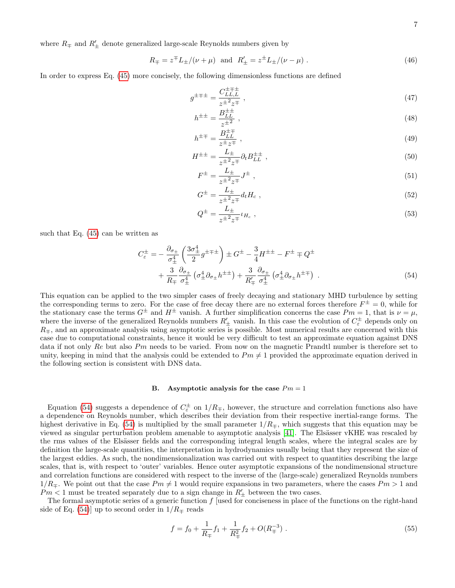where  $R_\mp$  and  $R'_\pm$  denote generalized large-scale Reynolds numbers given by

$$
R_{\mp} = z^{\mp} L_{\pm}/(\nu + \mu)
$$
 and  $R'_{\pm} = z^{\pm} L_{\pm}/(\nu - \mu)$ . (46)

In order to express Eq. [\(45\)](#page-5-3) more concisely, the following dimensionless functions are defined

$$
g^{\pm \mp \pm} = \frac{C_{LL,L}^{\pm \mp \pm}}{z^{\pm 2} z^{\mp}}, \tag{47}
$$

<span id="page-6-1"></span>
$$
h^{\pm \pm} = \frac{B_{LL}^{\pm \pm}}{z^{\pm 2}} \,, \tag{48}
$$

$$
h^{\pm \mp} = \frac{B_{LL}^{\pm \mp}}{z^{\pm} z^{\mp}} \tag{49}
$$

$$
H^{\pm \pm} = \frac{L_{\pm}}{z^{\pm 2} z^{\mp}} \partial_t B_{LL}^{\pm \pm} \tag{50}
$$

$$
F^{\pm} = \frac{L_{\pm}}{z^{\pm 2} z^{\mp}} J^{\pm} \;, \tag{51}
$$

$$
G^{\pm} = \frac{L_{\pm}}{z^{\pm 2} z^{\mp}} d_t H_c , \qquad (52)
$$

<span id="page-6-0"></span>
$$
Q^{\pm} = \frac{L_{\pm}}{z^{\pm 2} z^{\mp}} \iota_{H_c} \;, \tag{53}
$$

such that Eq.  $(45)$  can be written as

$$
C_{\varepsilon}^{\pm} = -\frac{\partial_{\sigma_{\pm}}}{\sigma_{\pm}^{4}} \left( \frac{3\sigma_{\pm}^{4}}{2} g^{\pm \mp \pm} \right) \pm G^{\pm} - \frac{3}{4} H^{\pm \pm} - F^{\pm} \mp Q^{\pm} + \frac{3}{R_{\mp}} \frac{\partial_{\sigma_{\pm}}}{\sigma_{\pm}^{4}} \left( \sigma_{\pm}^{4} \partial_{\sigma_{\pm}} h^{\pm \pm} \right) + \frac{3}{R'_{\mp}} \frac{\partial_{\sigma_{\pm}}}{\sigma_{\pm}^{4}} \left( \sigma_{\pm}^{4} \partial_{\sigma_{\pm}} h^{\pm \mp} \right) .
$$
\n(54)

This equation can be applied to the two simpler cases of freely decaying and stationary MHD turbulence by setting the corresponding terms to zero. For the case of free decay there are no external forces therefore  $F^{\pm} = 0$ , while for the stationary case the terms  $G^{\pm}$  and  $H^{\pm}$  vanish. A further simplification concerns the case  $Pm = 1$ , that is  $\nu = \mu$ , where the inverse of the generalized Reynolds numbers  $R'_\pm$  vanish. In this case the evolution of  $C^{\pm}_{\varepsilon}$  depends only on  $R_{\pm}$ , and an approximate analysis using asymptotic series is possible. Most numerical results are concerned with this case due to computational constraints, hence it would be very difficult to test an approximate equation against DNS data if not only Re but also Pm needs to be varied. From now on the magnetic Prandtl number is therefore set to unity, keeping in mind that the analysis could be extended to  $Pm \neq 1$  provided the approximate equation derived in the following section is consistent with DNS data.

### B. Asymptotic analysis for the case  $Pm = 1$

Equation [\(54\)](#page-6-0) suggests a dependence of  $C_{\varepsilon}^{\pm}$  on  $1/R_{\mp}$ , however, the structure and correlation functions also have a dependence on Reynolds number, which describes their deviation from their respective inertial-range forms. The highest derivative in Eq. [\(54\)](#page-6-0) is multiplied by the small parameter  $1/R<sub>≠</sub>$ , which suggests that this equation may be viewed as singular perturbation problem amenable to asymptotic analysis [\[41\]](#page-16-15). The Elsässer vKHE was rescaled by the rms values of the Elsässer fields and the corresponding integral length scales, where the integral scales are by definition the large-scale quantities, the interpretation in hydrodynamics usually being that they represent the size of the largest eddies. As such, the nondimensionalization was carried out with respect to quantities describing the large scales, that is, with respect to 'outer' variables. Hence outer asymptotic expansions of the nondimensional structure and correlation functions are considered with respect to the inverse of the (large-scale) generalized Reynolds numbers  $1/R_{\pm}$ . We point out that the case  $Pm \neq 1$  would require expansions in two parameters, where the cases  $Pm > 1$  and  $Pm < 1$  must be treated separately due to a sign change in  $R'_{\pm}$  between the two cases.

The formal asymptotic series of a generic function  $f$  [used for conciseness in place of the functions on the right-hand side of Eq. [\(54\)](#page-6-0)] up to second order in  $1/R<sub>\mp</sub>$  reads

$$
f = f_0 + \frac{1}{R_{\mp}} f_1 + \frac{1}{R_{\mp}^2} f_2 + O(R_{\mp}^{-3}) \tag{55}
$$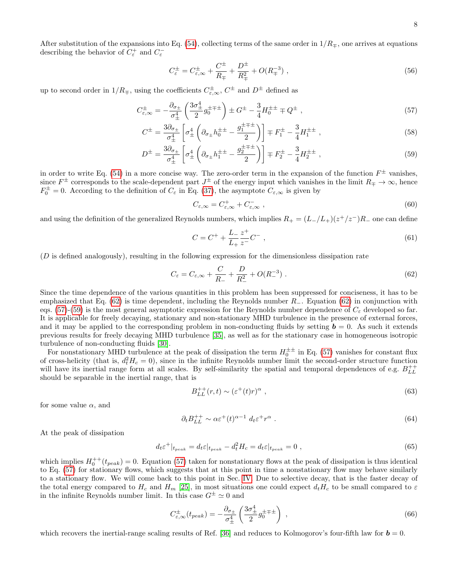After substitution of the expansions into Eq. [\(54\)](#page-6-0), collecting terms of the same order in  $1/R<sub>\mp</sub>$ , one arrives at equations describing the behavior of  $C_{\varepsilon}^+$  and  $C_{\varepsilon}^-$ 

$$
C_{\varepsilon}^{\pm} = C_{\varepsilon,\infty}^{\pm} + \frac{C^{\pm}}{R_{\mp}} + \frac{D^{\pm}}{R_{\mp}^2} + O(R_{\mp}^{-3}) \tag{56}
$$

up to second order in  $1/R_{\mp}$ , using the coefficients  $C_{\varepsilon,\infty}^{\pm}$ ,  $C^{\pm}$  and  $D^{\pm}$  defined as

$$
C_{\varepsilon,\infty}^{\pm} = -\frac{\partial_{\sigma_{\pm}}}{\sigma_{\pm}^{4}} \left( \frac{3\sigma_{\pm}^{4}}{2} g_{0}^{\pm \mp \pm} \right) \pm G^{\pm} - \frac{3}{4} H_{0}^{\pm \pm} \mp Q^{\pm} , \qquad (57)
$$

$$
C^{\pm} = \frac{3\partial_{\sigma_{\pm}}}{\sigma_{\pm}^{4}} \left[ \sigma_{\pm}^{4} \left( \partial_{\sigma_{\pm}} h_{0}^{\pm \pm} - \frac{g_{1}^{\pm \mp \pm}}{2} \right) \right] \mp F_{1}^{\pm} - \frac{3}{4} H_{1}^{\pm \pm} , \qquad (58)
$$

$$
D^{\pm} = \frac{3\partial_{\sigma_{\pm}}}{\sigma_{\pm}^{4}} \left[ \sigma_{\pm}^{4} \left( \partial_{\sigma_{\pm}} h_{1}^{\pm \pm} - \frac{g_{2}^{\pm \mp \pm}}{2} \right) \right] \mp F_{2}^{\pm} - \frac{3}{4} H_{2}^{\pm \pm} , \qquad (59)
$$

in order to write Eq. [\(54\)](#page-6-0) in a more concise way. The zero-order term in the expansion of the function  $F^{\pm}$  vanishes, since  $F^{\pm}$  corresponds to the scale-dependent part  $J^{\pm}$  of the energy input which vanishes in the limit  $R_{\mp} \to \infty$ , hence  $F_0^{\pm} = 0$ . According to the definition of  $C_{\varepsilon}$  in Eq. [\(37\)](#page-4-2), the asymptote  $C_{\varepsilon,\infty}$  is given by

<span id="page-7-3"></span><span id="page-7-2"></span><span id="page-7-1"></span>
$$
C_{\varepsilon,\infty} = C_{\varepsilon,\infty}^+ + C_{\varepsilon,\infty}^- \,, \tag{60}
$$

and using the definition of the generalized Reynolds numbers, which implies  $R_+ = (L_-/L_+)(z^+/z^-)R_-$  one can define

$$
C = C^{+} + \frac{L_{-}}{L_{+}} \frac{z^{+}}{z^{-}} C^{-} , \qquad (61)
$$

(D is defined analogously), resulting in the following expression for the dimensionless dissipation rate

<span id="page-7-0"></span>
$$
C_{\varepsilon} = C_{\varepsilon,\infty} + \frac{C}{R_{-}} + \frac{D}{R_{-}^{2}} + O(R_{-}^{-3}).
$$
\n(62)

Since the time dependence of the various quantities in this problem has been suppressed for conciseness, it has to be emphasized that Eq. [\(62\)](#page-7-0) is time dependent, including the Reynolds number R−. Equation [\(62\)](#page-7-0) in conjunction with eqs. [\(57\)](#page-7-1)-[\(59\)](#page-7-2) is the most general asymptotic expression for the Reynolds number dependence of  $C_{\varepsilon}$  developed so far. It is applicable for freely decaying, stationary and non-stationary MHD turbulence in the presence of external forces, and it may be applied to the corresponding problem in non-conducting fluids by setting  $\mathbf{b} = 0$ . As such it extends previous results for freely decaying MHD turbulence [\[35\]](#page-16-8), as well as for the stationary case in homogeneous isotropic turbulence of non-conducting fluids [\[30\]](#page-16-5).

For nonstationary MHD turbulence at the peak of dissipation the term  $H_0^{\pm\pm}$  in Eq. [\(57\)](#page-7-1) vanishes for constant flux of cross-helicity (that is,  $d_t^2 H_c = 0$ ), since in the infinite Reynolds number limit the second-order structure function will have its inertial range form at all scales. By self-similarity the spatial and temporal dependences of e.g.  $B_{LL}^{++}$ should be separable in the inertial range, that is

$$
B_{LL}^{++}(r,t) \sim (\varepsilon^+(t)r)^\alpha \;, \tag{63}
$$

for some value  $\alpha$ , and

$$
\partial_t B_{LL}^{++} \sim \alpha \varepsilon^+(t)^{\alpha-1} \, d_t \varepsilon^+ r^\alpha \,. \tag{64}
$$

At the peak of dissipation

$$
d_t \varepsilon^+|_{t_{peak}} = d_t \varepsilon|_{t_{peak}} - d_t^2 H_c = d_t \varepsilon|_{t_{peak}} = 0 , \qquad (65)
$$

which implies  $H_0^{++}(t_{peak}) = 0$ . Equation [\(57\)](#page-7-1) taken for nonstationary flows at the peak of dissipation is thus identical to Eq. [\(57\)](#page-7-1) for stationary flows, which suggests that at this point in time a nonstationary flow may behave similarly to a stationary flow. We will come back to this point in Sec. [IV.](#page-9-0) Due to selective decay, that is the faster decay of the total energy compared to  $H_c$  and  $H_m$  [\[25\]](#page-16-16), in most situations one could expect  $d_tH_c$  to be small compared to  $\varepsilon$ in the infinite Reynolds number limit. In this case  $G^{\pm} \simeq 0$  and

$$
C_{\varepsilon,\infty}^{\pm}(t_{peak}) = -\frac{\partial_{\sigma_{\pm}}}{\sigma_{\pm}^{4}} \left(\frac{3\sigma_{\pm}^{4}}{2} g_{0}^{\pm\mp\pm}\right) ,
$$
\n(66)

which recovers the inertial-range scaling results of Ref. [\[36\]](#page-16-9) and reduces to Kolmogorov's four-fifth law for  $\mathbf{b} = 0$ .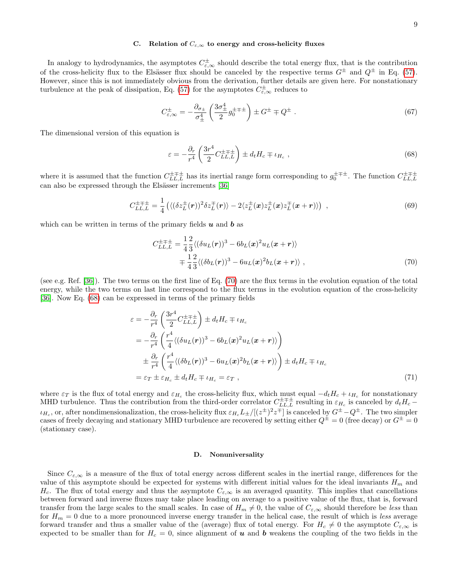In analogy to hydrodynamics, the asymptotes  $C_{\varepsilon,\infty}^{\pm}$  should describe the total energy flux, that is the contribution of the cross-helicity flux to the Elsässer flux should be canceled by the respective terms  $G^{\pm}$  and  $Q^{\pm}$  in Eq. [\(57\)](#page-7-1). However, since this is not immediately obvious from the derivation, further details are given here. For nonstationary turbulence at the peak of dissipation, Eq. [\(57\)](#page-7-1) for the asymptotes  $C_{\varepsilon,\infty}^{\pm}$  reduces to

$$
C_{\varepsilon,\infty}^{\pm} = -\frac{\partial_{\sigma_{\pm}}}{\sigma_{\pm}^4} \left( \frac{3\sigma_{\pm}^4}{2} g_0^{\pm \mp \pm} \right) \pm G^{\pm} \mp Q^{\pm} \tag{67}
$$

The dimensional version of this equation is

<span id="page-8-1"></span>
$$
\varepsilon = -\frac{\partial_r}{r^4} \left( \frac{3r^4}{2} C_{LL,L}^{\pm \mp \pm} \right) \pm d_t H_c \mp \iota_{H_c} \;, \tag{68}
$$

where it is assumed that the function  $C_{LL,L}^{\pm \mp \pm}$  has its inertial range form corresponding to  $g_0^{\pm \mp \pm}$ . The function  $C_{LL,L}^{\pm \mp \pm}$ can also be expressed through the Elsässer increments [\[36\]](#page-16-9)

$$
C_{LL,L}^{\pm \mp \pm} = \frac{1}{4} \left( \langle (\delta z_L^{\pm}(\mathbf{r}))^2 \delta z_L^{\mp}(\mathbf{r}) \rangle - 2 \langle z_L^{\pm}(\mathbf{x}) z_L^{\pm}(\mathbf{x}) z_L^{\mp}(\mathbf{x} + \mathbf{r}) \rangle \right) , \qquad (69)
$$

which can be written in terms of the primary fields  $\boldsymbol{u}$  and  $\boldsymbol{b}$  as

<span id="page-8-0"></span>
$$
C_{LL,L}^{\pm \mp \pm} = \frac{1}{4} \frac{2}{3} \langle (\delta u_L(\mathbf{r}))^3 - 6b_L(\mathbf{x})^2 u_L(\mathbf{x} + \mathbf{r}) \rangle \n= \frac{1}{4} \frac{2}{3} \langle (\delta b_L(\mathbf{r}))^3 - 6u_L(\mathbf{x})^2 b_L(\mathbf{x} + \mathbf{r}) \rangle ,
$$
\n(70)

(see e.g. Ref. [\[36\]](#page-16-9)). The two terms on the first line of Eq. [\(70\)](#page-8-0) are the flux terms in the evolution equation of the total energy, while the two terms on last line correspond to the flux terms in the evolution equation of the cross-helicity [\[36\]](#page-16-9). Now Eq. [\(68\)](#page-8-1) can be expressed in terms of the primary fields

$$
\varepsilon = -\frac{\partial_r}{r^4} \left( \frac{3r^4}{2} C_{LL,L}^{\pm \mp} \right) \pm d_t H_c \mp \iota_{H_c}
$$
  
\n
$$
= -\frac{\partial_r}{r^4} \left( \frac{r^4}{4} \langle (\delta u_L(\mathbf{r}))^3 - 6b_L(\mathbf{x})^2 u_L(\mathbf{x} + \mathbf{r}) \rangle \right)
$$
  
\n
$$
\pm \frac{\partial_r}{r^4} \left( \frac{r^4}{4} \langle (\delta b_L(\mathbf{r}))^3 - 6u_L(\mathbf{x})^2 b_L(\mathbf{x} + \mathbf{r}) \rangle \right) \pm d_t H_c \mp \iota_{H_c}
$$
  
\n
$$
= \varepsilon_T \pm \varepsilon_{H_c} \pm d_t H_c \mp \iota_{H_c} = \varepsilon_T , \qquad (71)
$$

where  $\varepsilon_T$  is the flux of total energy and  $\varepsilon_{H_c}$  the cross-helicity flux, which must equal  $-d_tH_c + \iota_{H_c}$  for nonstationary MHD turbulence. Thus the contribution from the third-order correlator  $C_{LL,L}^{\pm \mp \pm}$  resulting in  $\varepsilon_{H_c}$  is canceled by  $d_t H_c$  –  $\iota_{H_c}$ , or, after nondimensionalization, the cross-helicity flux  $\varepsilon_{H_c}L_{\pm}/[(z^{\pm})^2z^{\mp}]$  is canceled by  $G^{\pm}-Q^{\pm}$ . The two simpler cases of freely decaying and stationary MHD turbulence are recovered by setting either  $Q^{\pm} = 0$  (free decay) or  $G^{\pm} = 0$ (stationary case).

### D. Nonuniversality

Since  $C_{\varepsilon,\infty}$  is a measure of the flux of total energy across different scales in the inertial range, differences for the value of this asymptote should be expected for systems with different initial values for the ideal invariants  $H_m$  and  $H_c$ . The flux of total energy and thus the asymptote  $C_{\epsilon,\infty}$  is an averaged quantity. This implies that cancellations between forward and inverse fluxes may take place leading on average to a positive value of the flux, that is, forward transfer from the large scales to the small scales. In case of  $H_m \neq 0$ , the value of  $C_{\varepsilon,\infty}$  should therefore be less than for  $H_m = 0$  due to a more pronounced inverse energy transfer in the helical case, the result of which is less average forward transfer and thus a smaller value of the (average) flux of total energy. For  $H_c \neq 0$  the asymptote  $C_{\varepsilon,\infty}$  is expected to be smaller than for  $H_c = 0$ , since alignment of u and b weakens the coupling of the two fields in the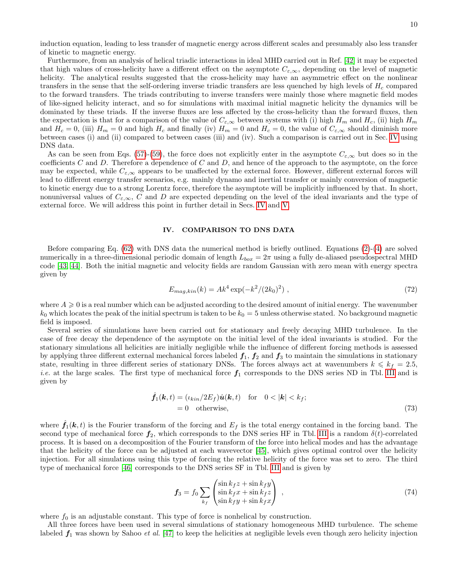induction equation, leading to less transfer of magnetic energy across different scales and presumably also less transfer of kinetic to magnetic energy.

Furthermore, from an analysis of helical triadic interactions in ideal MHD carried out in Ref. [\[42\]](#page-16-17) it may be expected that high values of cross-helicity have a different effect on the asymptote  $C_{\varepsilon,\infty}$ , depending on the level of magnetic helicity. The analytical results suggested that the cross-helicity may have an asymmetric effect on the nonlinear transfers in the sense that the self-ordering inverse triadic transfers are less quenched by high levels of  $H_c$  compared to the forward transfers. The triads contributing to inverse transfers were mainly those where magnetic field modes of like-signed helicity interact, and so for simulations with maximal initial magnetic helicity the dynamics will be dominated by these triads. If the inverse fluxes are less affected by the cross-helicity than the forward fluxes, then the expectation is that for a comparison of the value of  $C_{\varepsilon,\infty}$  between systems with (i) high  $H_m$  and  $H_c$ , (ii) high  $H_m$ and  $H_c = 0$ , (iii)  $H_m = 0$  and high  $H_c$  and finally (iv)  $H_m = 0$  and  $H_c = 0$ , the value of  $C_{\varepsilon,\infty}$  should diminish more between cases (i) and (ii) compared to between cases (iii) and (iv). Such a comparison is carried out in Sec. [IV](#page-9-0) using DNS data.

As can be seen from Eqs. [\(57\)](#page-7-1)-[\(59\)](#page-7-2), the force does not explicitly enter in the asymptote  $C_{\epsilon,\infty}$  but does so in the coefficients  $C$  and  $D$ . Therefore a dependence of  $C$  and  $D$ , and hence of the approach to the asymptote, on the force may be expected, while  $C_{\varepsilon,\infty}$  appears to be unaffected by the external force. However, different external forces will lead to different energy transfer scenarios, e.g. mainly dynamo and inertial transfer or mainly conversion of magnetic to kinetic energy due to a strong Lorentz force, therefore the asymptote will be implicitly influenced by that. In short, nonuniversal values of  $C_{\varepsilon,\infty}$ , C and D are expected depending on the level of the ideal invariants and the type of external force. We will address this point in further detail in Secs. [IV](#page-9-0) and [V.](#page-14-0)

#### <span id="page-9-0"></span>IV. COMPARISON TO DNS DATA

Before comparing Eq. [\(62\)](#page-7-0) with DNS data the numerical method is briefly outlined. Equations [\(2\)](#page-1-2)-[\(4\)](#page-1-3) are solved numerically in a three-dimensional periodic domain of length  $L_{box} = 2\pi$  using a fully de-aliased pseudospectral MHD code [\[43,](#page-16-18) [44\]](#page-16-19). Both the initial magnetic and velocity fields are random Gaussian with zero mean with energy spectra given by

$$
E_{mag,kin}(k) = Ak^4 \exp(-k^2/(2k_0)^2) , \qquad (72)
$$

where  $A \geqslant 0$  is a real number which can be adjusted according to the desired amount of initial energy. The wavenumber  $k_0$  which locates the peak of the initial spectrum is taken to be  $k_0 = 5$  unless otherwise stated. No background magnetic field is imposed.

Several series of simulations have been carried out for stationary and freely decaying MHD turbulence. In the case of free decay the dependence of the asymptote on the initial level of the ideal invariants is studied. For the stationary simulations all helicities are initially negligible while the influence of different forcing methods is assessed by applying three different external mechanical forces labeled  $f_1$ ,  $f_2$  and  $f_3$  to maintain the simulations in stationary state, resulting in three different series of stationary DNSs. The forces always act at wavenumbers  $k \leq k_f = 2.5$ , *i.e.* at the large scales. The first type of mechanical force  $f_1$  corresponds to the DNS series ND in Tbl. [III](#page-12-0) and is given by

$$
\hat{f}_1(\mathbf{k}, t) = (\iota_{kin}/2E_f)\hat{\mathbf{u}}(\mathbf{k}, t) \quad \text{for} \quad 0 < |\mathbf{k}| < k_f; \n= 0 \quad \text{otherwise},
$$
\n(73)

where  $\hat{f}_1(\mathbf{k},t)$  is the Fourier transform of the forcing and  $E_f$  is the total energy contained in the forcing band. The second type of mechanical force  $f_2$ , which corresponds to the DNS series HF in Tbl. [III](#page-12-0) is a random  $\delta(t)$ -correlated process. It is based on a decomposition of the Fourier transform of the force into helical modes and has the advantage that the helicity of the force can be adjusted at each wavevector [\[45\]](#page-16-20), which gives optimal control over the helicity injection. For all simulations using this type of forcing the relative helicity of the force was set to zero. The third type of mechanical force [\[46\]](#page-16-21) corresponds to the DNS series SF in Tbl. [III](#page-12-0) and is given by

$$
\mathbf{f}_3 = f_0 \sum_{k_f} \begin{pmatrix} \sin k_f z + \sin k_f y \\ \sin k_f x + \sin k_f z \\ \sin k_f y + \sin k_f x \end{pmatrix} , \qquad (74)
$$

where  $f_0$  is an adjustable constant. This type of force is nonhelical by construction.

All three forces have been used in several simulations of stationary homogeneous MHD turbulence. The scheme labeled  $f_1$  was shown by Sahoo *et al.* [\[47\]](#page-16-22) to keep the helicities at negligible levels even though zero helicity injection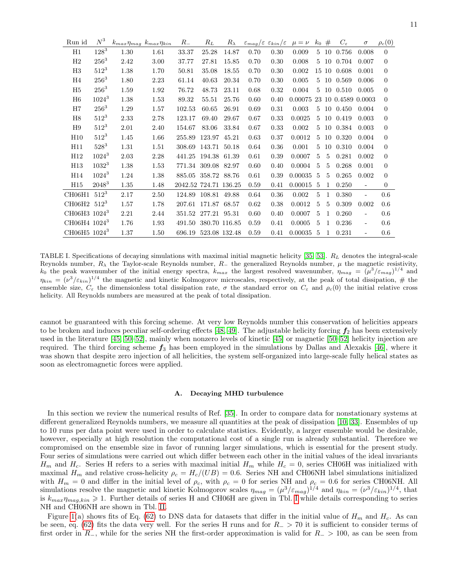| Run id                    | $N^3$     | $k_{max} \eta_{mag}$ $k_{max} \eta_{kin}$ |      | $R_{-}$               | $R_L$               | $R_{\lambda}$ | $\varepsilon_{mag}/\varepsilon \varepsilon_{kin}/\varepsilon$ |      | $\mu = \nu$ | $k_0$          | #             | $C_{\varepsilon}$   | $\sigma$                 | $\rho_c(0)$    |
|---------------------------|-----------|-------------------------------------------|------|-----------------------|---------------------|---------------|---------------------------------------------------------------|------|-------------|----------------|---------------|---------------------|--------------------------|----------------|
| Η1                        | $128^{3}$ | 1.30                                      | 1.61 | 33.37                 | 25.28               | 14.87         | 0.70                                                          | 0.30 | 0.009       | 5              | 10            | 0.756               | 0.008                    | $\overline{0}$ |
| H2                        | $256^3$   | 2.42                                      | 3.00 | 37.77                 | 27.81               | 15.85         | 0.70                                                          | 0.30 | 0.008       | 5              | 10            | 0.704               | 0.007                    | $\theta$       |
| H3                        | $512^3$   | 1.38                                      | 1.70 | 50.81                 | 35.08               | 18.55         | 0.70                                                          | 0.30 | 0.002       | 15             | 10            | 0.608               | 0.001                    | $\theta$       |
| H4                        | $256^3$   | 1.80                                      | 2.23 | 61.14                 | 40.63               | 20.34         | 0.70                                                          | 0.30 | 0.005       | 5              |               | 10 0.569            | 0.006                    | $\overline{0}$ |
| H <sub>5</sub>            | $256^3$   | 1.59                                      | 1.92 | 76.72                 | 48.73               | 23.11         | 0.68                                                          | 0.32 | 0.004       | $\overline{5}$ |               | 10 0.510            | 0.005                    | $\theta$       |
| H6                        | $1024^3$  | 1.38                                      | 1.53 | 89.32                 | 55.51               | 25.76         | 0.60                                                          | 0.40 | 0.00075     |                |               | 23 10 0.4589 0.0003 |                          | $\theta$       |
| H7                        | $256^{3}$ | 1.29                                      | 1.57 | 102.53                | 60.65               | 26.91         | 0.69                                                          | 0.31 | 0.003       | 5              | 10            | 0.450               | 0.004                    | $\theta$       |
| H8                        | $512^3$   | 2.33                                      | 2.78 | 123.17                | 69.40               | 29.67         | 0.67                                                          | 0.33 | 0.0025      | 5              | 10            | 0.419               | 0.003                    | $\theta$       |
| H9                        | $512^3$   | 2.01                                      | 2.40 | 154.67                | 83.06               | 33.84         | 0.67                                                          | 0.33 | 0.002       | 5              |               | 10 0.384            | 0.003                    | $\theta$       |
| H10                       | $512^3$   | 1.45                                      | 1.66 | 255.89                | 123.97              | 45.21         | 0.63                                                          | 0.37 | 0.0012      | 5              | 10            | 0.320               | 0.004                    | $\Omega$       |
| H11                       | $528^3$   | 1.31                                      | 1.51 | 308.69                | 143.71              | 50.18         | 0.64                                                          | 0.36 | 0.001       | 5              | 10            | 0.310               | 0.004                    | $\theta$       |
| H12                       | $1024^3$  | 2.03                                      | 2.28 | 441.25                | 194.38              | 61.39         | 0.61                                                          | 0.39 | 0.0007      | 5              | 5             | 0.281               | 0.002                    | $\theta$       |
| H13                       | $1032^3$  | 1.38                                      | 1.53 |                       | 771.34 309.08       | 82.97         | 0.60                                                          | 0.40 | 0.0004      | 5              | 5             | 0.268               | 0.001                    | $\theta$       |
| H14                       | $1024^3$  | 1.24                                      | 1.38 | 885.05 358.72 88.76   |                     |               | 0.61                                                          | 0.39 | 0.00035     | 5              | $\frac{5}{2}$ | 0.265               | 0.002                    | $\theta$       |
| H15                       | $2048^3$  | 1.35                                      | 1.48 | 2042.52 724.71 136.25 |                     |               | 0.59                                                          | 0.41 | 0.00015     | -5             | $\mathbf{1}$  | 0.250               | $\overline{\phantom{a}}$ | $\overline{0}$ |
| CH06H1                    | $512^3$   | 2.17                                      | 2.50 |                       | 124.89 108.81 49.88 |               | 0.64                                                          | 0.36 | 0.002       | 5              | 1             | 0.380               | $\overline{\phantom{a}}$ | 0.6            |
| $CH06H2$ 512 <sup>3</sup> |           | 1.57                                      | 1.78 |                       | 207.61 171.87 68.57 |               | 0.62                                                          | 0.38 | 0.0012      | 5              | 5             | 0.309               | 0.002                    | 0.6            |
| CH06H3 1024 <sup>3</sup>  |           | 2.21                                      | 2.44 |                       | 351.52 277.21 95.31 |               | 0.60                                                          | 0.40 | 0.0007      | 5              | $\mathbf{1}$  | 0.260               | ÷,                       | 0.6            |
| CH06H4 1024 <sup>3</sup>  |           | 1.76                                      | 1.93 | 491.50                | 380.70 116.85       |               | 0.59                                                          | 0.41 | 0.0005      | 5              | $\mathbf{1}$  | 0.236               | $\frac{1}{2}$            | 0.6            |
| CH06H5 1024 <sup>3</sup>  |           | 1.37                                      | 1.50 | 696.19 523.08 132.48  |                     |               | 0.59                                                          | 0.41 | 0.00035     | -5             | 1             | 0.231               | $\frac{1}{2}$            | 0.6            |

<span id="page-10-0"></span>TABLE I. Specifications of decaying simulations with maximal initial magnetic helicity  $[35, 53]$  $[35, 53]$ .  $R_L$  denotes the integral-scale Reynolds number,  $R_{\lambda}$  the Taylor-scale Reynolds number,  $R_{-}$  the generalized Reynolds number,  $\mu$  the magnetic resistivity, k<sub>0</sub> the peak wavenumber of the initial energy spectra,  $k_{max}$  the largest resolved wavenumber,  $\eta_{mag} = (\mu^3/\varepsilon_{mag})^{1/4}$  and  $\eta_{kin} = (\nu^3/\varepsilon_{kin})^{1/4}$  the magnetic and kinetic Kolmogorov microscales, respectively, at the peak of total dissipation, # the ensemble size,  $C_{\varepsilon}$  the dimensionless total dissipation rate,  $\sigma$  the standard error on  $C_{\varepsilon}$  and  $\rho_c(0)$  the initial relative cross helicity. All Reynolds numbers are measured at the peak of total dissipation.

cannot be guaranteed with this forcing scheme. At very low Reynolds number this conservation of helicities appears to be broken and induces peculiar self-ordering effects [\[48,](#page-16-24) [49\]](#page-16-25). The adjustable helicity forcing  $f_2$  has been extensively used in the literature [\[45,](#page-16-20) [50](#page-16-26)[–52\]](#page-16-27), mainly when nonzero levels of kinetic [\[45\]](#page-16-20) or magnetic [\[50–](#page-16-26)[52\]](#page-16-27) helicity injection are required. The third forcing scheme  $f_3$  has been employed in the simulations by Dallas and Alexakis [\[46\]](#page-16-21), where it was shown that despite zero injection of all helicities, the system self-organized into large-scale fully helical states as soon as electromagnetic forces were applied.

#### <span id="page-10-1"></span>A. Decaying MHD turbulence

In this section we review the numerical results of Ref. [\[35\]](#page-16-8). In order to compare data for nonstationary systems at different generalized Reynolds numbers, we measure all quantities at the peak of dissipation [\[10,](#page-15-3) [33\]](#page-16-6). Ensembles of up to 10 runs per data point were used in order to calculate statistics. Evidently, a larger ensemble would be desirable, however, especially at high resolution the computational cost of a single run is already substantial. Therefore we compromised on the ensemble size in favor of running larger simulations, which is essential for the present study. Four series of simulations were carried out which differ between each other in the initial values of the ideal invariants  $H_m$  and  $H_c$ . Series H refers to a series with maximal initial  $H_m$  while  $H_c = 0$ , series CH06H was initialized with maximal  $H_m$  and relative cross-helicity  $\rho_c = H_c/(UB) = 0.6$ . Series NH and CH06NH label simulations initialized with  $H_m = 0$  and differ in the initial level of  $\rho_c$ , with  $\rho_c = 0$  for series NH and  $\rho_c = 0.6$  for series CH06NH. All simulations resolve the magnetic and kinetic Kolmogorov scales  $\eta_{mag} = (\mu^3 / \varepsilon_{mag})^{1/4}$  and  $\eta_{kin} = (\nu^3 / \varepsilon_{kin})^{1/4}$ , that is  $k_{max} \eta_{mag, kin} \geq 1$ . Further details of series H and CH06H are given in Tbl. [I](#page-10-0) while details corresponding to series NH and CH06NH are shown in Tbl. [II.](#page-11-0)

Figure [1\(](#page-13-0)a) shows fits of Eq. [\(62\)](#page-7-0) to DNS data for datasets that differ in the initial value of  $H_m$  and  $H_c$ . As can be seen, eq. [\(62\)](#page-7-0) fits the data very well. For the series H runs and for  $R_ > 70$  it is sufficient to consider terms of first order in  $R_$ , while for the series NH the first-order approximation is valid for  $R_$  > 100, as can be seen from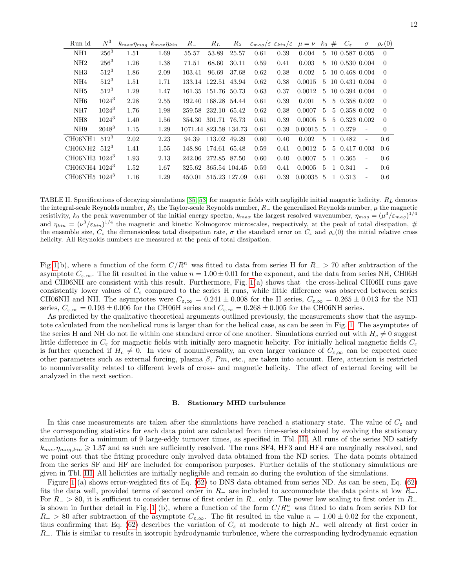| Run id                     | $N^3$     | $k_{max} \eta_{mag}$ $k_{max} \eta_{kin}$ |      | $R_{-}$               | $R_L$                | $R_{\lambda}$ | $\varepsilon_{maq}/\varepsilon \varepsilon_{kin}/\varepsilon$ |      | $\mu = \nu$ | $k_0$         | #            | $C_{\varepsilon}$ | $\sigma$                 | $\rho_c(0)$    |
|----------------------------|-----------|-------------------------------------------|------|-----------------------|----------------------|---------------|---------------------------------------------------------------|------|-------------|---------------|--------------|-------------------|--------------------------|----------------|
| NH1                        | $256^{3}$ | 1.51                                      | 1.69 | 55.57                 | 53.89                | 25.57         | 0.61                                                          | 0.39 | 0.004       | 5.            |              |                   | 10 0.587 0.005           | $\theta$       |
| NH2                        | $256^3$   | 1.26                                      | 1.38 | 71.51                 | 68.60                | 30.11         | 0.59                                                          | 0.41 | 0.003       | 5.            |              |                   | 10 0.530 0.004           | $\Omega$       |
| NH3                        | $512^3$   | 1.86                                      | 2.09 | 103.41                | 96.69                | 37.68         | 0.62                                                          | 0.38 | 0.002       | 5.            |              |                   | 10 0.468 0.004           | $\Omega$       |
| NH4                        | $512^3$   | 1.51                                      | 1.71 | 133.14                | 122.51               | 43.94         | 0.62                                                          | 0.38 | 0.0015      | 5.            |              |                   | 10 0.431 0.004           | $\Omega$       |
| NH <sub>5</sub>            | $512^3$   | 1.29                                      | 1.47 |                       | 161.35 151.76 50.73  |               | 0.63                                                          | 0.37 | 0.0012      | 5             |              |                   | 10 0.394 0.004           | $\theta$       |
| NH6                        | $1024^3$  | 2.28                                      | 2.55 | 192.40                | 168.28 54.44         |               | 0.61                                                          | 0.39 | 0.001       | 5.            | $5^{\circ}$  |                   | 0.358 0.002              | $\Omega$       |
| NH7                        | $1024^3$  | 1.76                                      | 1.98 |                       | 259.58 232.10 65.42  |               | 0.62                                                          | 0.38 | 0.0007      | 5             | 5.           |                   | 0.358 0.002              | $\theta$       |
| NH <sub>8</sub>            | $1024^3$  | 1.40                                      | 1.56 |                       | 354.30 301.71 76.73  |               | 0.61                                                          | 0.39 | 0.0005      | 5             |              |                   | 5 0.323 0.002            | $\Omega$       |
| NH <sub>9</sub>            | $2048^3$  | 1.15                                      | 1.29 | 1071.44 823.58 134.73 |                      |               | 0.61                                                          | 0.39 | 0.00015     | $\frac{5}{2}$ |              | 1 0.279           | $\overline{\phantom{a}}$ | $\overline{0}$ |
| CH06NH1                    | $512^3$   | 2.02                                      | 2.23 | 94.39                 | 113.02 49.29         |               | 0.60                                                          | 0.40 | 0.002       | 5.            | $\mathbf{1}$ | 0.482             |                          | 0.6            |
| $CH06NH2$ 512 <sup>3</sup> |           | 1.41                                      | 1.55 | 148.86                | 174.61 65.48         |               | 0.59                                                          | 0.41 | 0.0012      | $5^{\circ}$   |              |                   | 5 0.417 0.003            | 0.6            |
| CH06NH3 1024 <sup>3</sup>  |           | 1.93                                      | 2.13 | 242.06                | 272.85 87.50         |               | 0.60                                                          | 0.40 | 0.0007      | 5             |              | 1 0.365           | $\overline{\phantom{a}}$ | 0.6            |
| CH06NH4 1024 <sup>3</sup>  |           | 1.52                                      | 1.67 |                       | 325.62 365.54 104.45 |               | 0.59                                                          | 0.41 | 0.0005      | 5             |              | 1 0.341           | $\sim$                   | 0.6            |
| CH06NH5 1024 <sup>3</sup>  |           | 1.16                                      | 1.29 | 450.01                | 515.23 127.09        |               | 0.61                                                          | 0.39 | 0.00035     | $\frac{5}{2}$ | $\mathbf{1}$ | 0.313             | $\overline{\phantom{a}}$ | 0.6            |

<span id="page-11-0"></span>TABLE II. Specifications of decaying simulations  $[35, 53]$  $[35, 53]$  for magnetic fields with negligible initial magnetic helicity.  $R_L$  denotes the integral-scale Reynolds number,  $R_{\lambda}$  the Taylor-scale Reynolds number,  $R_{-}$  the generalized Reynolds number,  $\mu$  the magnetic resistivity,  $k_0$  the peak wavenumber of the initial energy spectra,  $k_{max}$  the largest resolved wavenumber,  $\eta_{mag} = (\mu^3 / \varepsilon_{mag})^{1/4}$ and  $\eta_{kin} = (\nu^3/\varepsilon_{kin})^{1/4}$  the magnetic and kinetic Kolmogorov microscales, respectively, at the peak of total dissipation, # the ensemble size,  $C_{\varepsilon}$  the dimensionless total dissipation rate,  $\sigma$  the standard error on  $C_{\varepsilon}$  and  $\rho_c(0)$  the initial relative cross helicity. All Reynolds numbers are measured at the peak of total dissipation.

Fig [1\(](#page-13-0)b), where a function of the form  $C/R_-^n$  was fitted to data from series H for  $R_ > 70$  after subtraction of the asymptote  $C_{\varepsilon,\infty}$ . The fit resulted in the value  $n = 1.00 \pm 0.01$  for the exponent, and the data from series NH, CH06H and CH06NH are consistent with this result. Furthermore, Fig. [1\(](#page-13-0)a) shows that the cross-helical CH06H runs gave consistently lower values of  $C_{\varepsilon}$  compared to the series H runs, while little difference was observed between series CH06NH and NH. The asymptotes were  $C_{\epsilon,\infty} = 0.241 \pm 0.008$  for the H series,  $C_{\epsilon,\infty} = 0.265 \pm 0.013$  for the NH series,  $C_{\varepsilon,\infty} = 0.193 \pm 0.006$  for the CH06H series and  $C_{\varepsilon,\infty} = 0.268 \pm 0.005$  for the CH06NH series.

As predicted by the qualitative theoretical arguments outlined previously, the measurements show that the asymptote calculated from the nonhelical runs is larger than for the helical case, as can be seen in Fig. [1.](#page-13-0) The asymptotes of the series H and NH do not lie within one standard error of one another. Simulations carried out with  $H_c \neq 0$  suggest little difference in  $C_{\varepsilon}$  for magnetic fields with initially zero magnetic helicity. For initially helical magnetic fields  $C_{\varepsilon}$ is further quenched if  $H_c \neq 0$ . In view of nonuniversality, an even larger variance of  $C_{\varepsilon,\infty}$  can be expected once other parameters such as external forcing, plasma  $\beta$ , Pm, etc., are taken into account. Here, attention is restricted to nonuniversality related to different levels of cross- and magnetic helicity. The effect of external forcing will be analyzed in the next section.

### B. Stationary MHD turbulence

In this case measurements are taken after the simulations have reached a stationary state. The value of  $C_{\varepsilon}$  and the corresponding statistics for each data point are calculated from time-series obtained by evolving the stationary simulations for a minimum of 9 large-eddy turnover times, as specified in Tbl. [III.](#page-12-0) All runs of the series ND satisfy  $k_{max} \eta_{max,kin} \geqslant 1.37$  and as such are sufficiently resolved. The runs SF4, HF3 and HF4 are marginally resolved, and we point out that the fitting procedure only involved data obtained from the ND series. The data points obtained from the series SF and HF are included for comparison purposes. Further details of the stationary simulations are given in Tbl. [III.](#page-12-0) All helicities are initially negligible and remain so during the evolution of the simulations.

Figure [1](#page-13-0) (a) shows error-weighted fits of Eq. [\(62\)](#page-7-0) to DNS data obtained from series ND. As can be seen, Eq. [\(62\)](#page-7-0) fits the data well, provided terms of second order in  $R_-\,$  are included to accommodate the data points at low  $R_-\,$ . For  $R_$  > 80, it is sufficient to consider terms of first order in  $R_$ − only. The power law scaling to first order in  $R_$ is shown in further detail in Fig. [1](#page-13-0) (b), where a function of the form  $C/R^n_-$  was fitted to data from series ND for  $R_{-}$  > 80 after subtraction of the asymptote  $C_{\varepsilon,\infty}$ . The fit resulted in the value  $n = 1.00 \pm 0.02$  for the exponent, thus confirming that Eq. [\(62\)](#page-7-0) describes the variation of  $C_\varepsilon$  at moderate to high R<sub>−</sub> well already at first order in R−. This is similar to results in isotropic hydrodynamic turbulence, where the corresponding hydrodynamic equation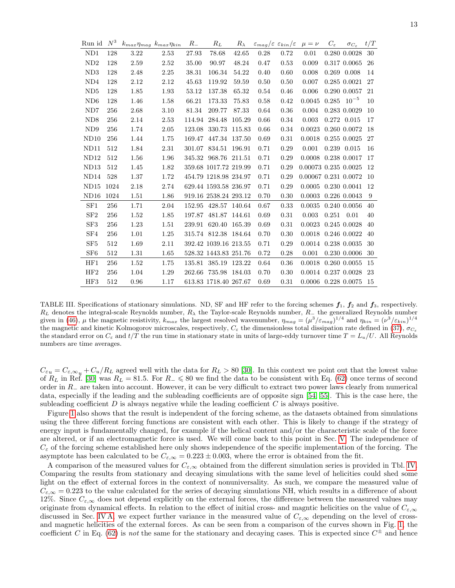| Run id           | $N^3$ | $k_{max} \eta_{mag}$ $k_{max} \eta_{kin}$ |      | $R_{-}$ | $R_L$                 | $R_\lambda$ | $\varepsilon_{mag}/\varepsilon \varepsilon_{kin}/\varepsilon$ |      | $\mu = \nu$                    | $C_{\varepsilon}$ | $\sigma_{C_{\varepsilon}}$ | t/T |
|------------------|-------|-------------------------------------------|------|---------|-----------------------|-------------|---------------------------------------------------------------|------|--------------------------------|-------------------|----------------------------|-----|
| ND1              | 128   | 3.22                                      | 2.53 | 27.93   | 78.68                 | 42.65       | 0.28                                                          | 0.72 | 0.01                           |                   | 0.280 0.0028               | 30  |
| ND2              | 128   | 2.59                                      | 2.52 | 35.00   | 90.97                 | 48.24       | 0.47                                                          | 0.53 | 0.009                          |                   | 0.317 0.0065               | 26  |
| ND3              | 128   | 2.48                                      | 2.25 | 38.31   | 106.34                | 54.22       | 0.40                                                          | 0.60 | 0.008                          |                   | 0.269 0.008                | 14  |
| ND <sub>4</sub>  | 128   | 2.12                                      | 2.12 | 45.63   | 119.92                | 59.59       | 0.50                                                          | 0.50 | 0.007                          |                   | 0.285 0.0021               | 27  |
| ND <sub>5</sub>  | 128   | 1.85                                      | 1.93 | 53.12   | 137.38                | 65.32       | 0.54                                                          | 0.46 | 0.006                          |                   | 0.290 0.0057               | 21  |
| ND <sub>6</sub>  | 128   | 1.46                                      | 1.58 | 66.21   | 173.33                | 75.83       | 0.58                                                          | 0.42 | 0.0045                         | 0.285             | $10^{-5}$                  | 10  |
| ND7              | 256   | 2.68                                      | 3.10 | 81.34   | 209.77                | 87.33       | 0.64                                                          | 0.36 | 0.004                          |                   | 0.283 0.0029               | 10  |
| ND <sub>8</sub>  | 256   | 2.14                                      | 2.53 |         | 114.94 284.48         | 105.29      | 0.66                                                          | 0.34 | 0.003                          |                   | 0.272 0.015                | 17  |
| ND <sub>9</sub>  | 256   | 1.74                                      | 2.05 |         | 123.08 330.73 115.83  |             | 0.66                                                          | 0.34 | 0.0023 0.260 0.0072            |                   |                            | -18 |
| ND10             | 256   | 1.44                                      | 1.75 | 169.47  | 447.34 137.50         |             | 0.69                                                          | 0.31 | 0.0018                         |                   | 0.255 0.0025               | -27 |
| ND11             | 512   | 1.84                                      | 2.31 |         | 301.07 834.51 196.91  |             | 0.71                                                          | 0.29 | 0.001                          |                   | 0.239 0.015                | 16  |
| ND12             | 512   | 1.56                                      | 1.96 |         | 345.32 968.76 211.51  |             | 0.71                                                          | 0.29 | 0.0008 0.238 0.0017            |                   |                            | 17  |
| ND13             | 512   | 1.45                                      | 1.82 |         | 359.68 1017.72 219.99 |             | 0.71                                                          | 0.29 | $0.00073\,$ $0.235\,$ $0.0025$ |                   |                            | -12 |
| ND <sub>14</sub> | 528   | 1.37                                      | 1.72 |         | 454.79 1218.98 234.97 |             | 0.71                                                          | 0.29 | 0.00067 0.231 0.0072           |                   |                            | -10 |
| ND15             | 1024  | 2.18                                      | 2.74 |         | 629.44 1593.58 236.97 |             | 0.71                                                          | 0.29 | $0.0005$ $0.230$ $0.0041$      |                   |                            | 12  |
| ND16             | 1024  | 1.51                                      | 1.86 |         | 919.16 2538.24 293.12 |             | 0.70                                                          | 0.30 | 0.0003 0.226 0.0043            |                   |                            | 9   |
| SF1              | 256   | 1.71                                      | 2.04 | 152.95  | 428.57 140.64         |             | 0.67                                                          | 0.33 | 0.0035                         |                   | 0.240 0.0056               | 40  |
| SF2              | 256   | 1.52                                      | 1.85 |         | 197.87 481.87 144.61  |             | 0.69                                                          | 0.31 | 0.003                          | 0.251             | 0.01                       | 40  |
| SF3              | 256   | 1.23                                      | 1.51 |         | 239.91 620.40         | 165.39      | 0.69                                                          | 0.31 | 0.0023                         |                   | 0.245 0.0028               | 40  |
| SF4              | 256   | 1.01                                      | 1.25 |         | 315.74 812.38 184.64  |             | 0.70                                                          | 0.30 | 0.0018 0.246 0.0022            |                   |                            | 40  |
| SF <sub>5</sub>  | 512   | 1.69                                      | 2.11 |         | 392.42 1039.16 213.55 |             | 0.71                                                          | 0.29 | 0.0014 0.238 0.0035            |                   |                            | 30  |
| SF <sub>6</sub>  | 512   | 1.31                                      | 1.65 |         | 528.32 1443.83 251.76 |             | 0.72                                                          | 0.28 | 0.001                          |                   | 0.230 0.0006               | 30  |
| HF1              | 256   | 1.52                                      | 1.75 |         | 135.81 385.19         | 123.22      | 0.64                                                          | 0.36 | 0.0018 0.260 0.0055            |                   |                            | 15  |
| HF2              | 256   | 1.04                                      | 1.29 | 262.66  | 735.98 184.03         |             | 0.70                                                          | 0.30 | 0.0014 0.237 0.0028            |                   |                            | -23 |
| HF3              | 512   | 0.96                                      | 1.17 |         | 613.83 1718.40 267.67 |             | 0.69                                                          | 0.31 | 0.0006 0.228 0.0075            |                   |                            | -15 |

<span id="page-12-0"></span>TABLE III. Specifications of stationary simulations. ND, SF and HF refer to the forcing schemes  $f_1$ ,  $f_2$  and  $f_3$ , respectively.  $R_L$  denotes the integral-scale Reynolds number,  $R_{\lambda}$  the Taylor-scale Reynolds number,  $R_{-}$  the generalized Reynolds number given in [\(46\)](#page-6-1),  $\mu$  the magnetic resistivity,  $k_{max}$  the largest resolved wavenumber,  $\eta_{mag} = (\mu^3 / \varepsilon_{mag})^{1/4}$  and  $\eta_{kin} = (\nu^3 / \varepsilon_{kin})^{1/4}$ the magnetic and kinetic Kolmogorov microscales, respectively,  $C_{\varepsilon}$  the dimensionless total dissipation rate defined in [\(37\)](#page-4-2),  $\sigma_{C_{\varepsilon}}$ the standard error on  $C_{\varepsilon}$  and  $t/T$  the run time in stationary state in units of large-eddy turnover time  $T = L_u/U$ . All Reynolds numbers are time averages.

 $C_{\varepsilon u} = C_{\varepsilon,\infty} u + C_u/R_L$  agreed well with the data for  $R_L > 80$  [\[30\]](#page-16-5). In this context we point out that the lowest value of  $R_L$  in Ref. [\[30\]](#page-16-5) was  $R_L = 81.5$ . For  $R_{-} \le 80$  we find the data to be consistent with Eq. [\(62\)](#page-7-0) once terms of second order in R<sup>−</sup> are taken into account. However, it can be very difficult to extract two power laws clearly from numerical data, especially if the leading and the subleading coefficients are of opposite sign [\[54,](#page-16-28) [55\]](#page-16-29). This is the case here, the subleading coefficient  $D$  is always negative while the leading coefficient  $C$  is always positive.

Figure [1](#page-13-0) also shows that the result is independent of the forcing scheme, as the datasets obtained from simulations using the three different forcing functions are consistent with each other. This is likely to change if the strategy of energy input is fundamentally changed, for example if the helical content and/or the characteristic scale of the force are altered, or if an electromagnetic force is used. We will come back to this point in Sec. [V.](#page-14-0) The independence of  $C_{\varepsilon}$  of the forcing scheme established here only shows independence of the specific implementation of the forcing. The asymptote has been calculated to be  $C_{\varepsilon,\infty} = 0.223 \pm 0.003$ , where the error is obtained from the fit.

A comparison of the measured values for  $C_{\varepsilon,\infty}$  obtained from the different simulation series is provided in Tbl. [IV.](#page-13-1) Comparing the results from stationary and decaying simulations with the same level of helicities could shed some light on the effect of external forces in the context of nonuniversality. As such, we compare the measured value of  $C_{\epsilon,\infty} = 0.223$  to the value calculated for the series of decaying simulations NH, which results in a difference of about 12%. Since  $C_{\epsilon,\infty}$  does not depend explicitly on the external forces, the difference between the measured values may originate from dynamical effects. In relation to the effect of initial cross- and magntic helicities on the value of  $C_{\varepsilon,\infty}$ discussed in Sec. [IV A,](#page-10-1) we expect further variance in the measured value of  $C_{\varepsilon,\infty}$  depending on the level of crossand magnetic helicities of the external forces. As can be seen from a comparison of the curves shown in Fig. [1,](#page-13-0) the coefficient C in Eq. [\(62\)](#page-7-0) is not the same for the stationary and decaying cases. This is expected since  $C^{\pm}$  and hence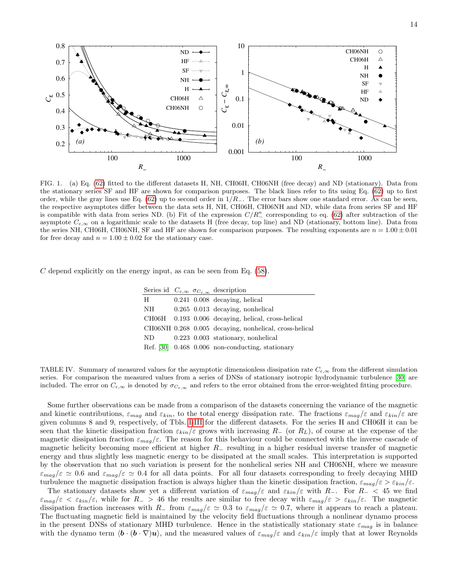



<span id="page-13-0"></span>FIG. 1. (a) Eq. [\(62\)](#page-7-0) fitted to the different datasets H, NH, CH06H, CH06NH (free decay) and ND (stationary). Data from the stationary series SF and HF are shown for comparison purposes. The black lines refer to fits using Eq. [\(62\)](#page-7-0) up to first order, while the gray lines use Eq. [\(62\)](#page-7-0) up to second order in  $1/R_$ . The error bars show one standard error. As can be seen, the respective asymptotes differ between the data sets H, NH, CH06H, CH06NH and ND, while data from series SF and HF is compatible with data from series ND. (b) Fit of the expression  $C/R_{-}^{n}$  corresponding to eq. [\(62\)](#page-7-0) after subtraction of the asymptote  $C_{\varepsilon,\infty}$  on a logarithmic scale to the datasets H (free decay, top line) and ND (stationary, bottom line). Data from the series NH, CH06H, CH06NH, SF and HF are shown for comparison purposes. The resulting exponents are  $n = 1.00 \pm 0.01$ for free decay and  $n = 1.00 \pm 0.02$  for the stationary case.

C depend explicitly on the energy input, as can be seen from Eq.  $(58)$ .

|    |  | Series id $C_{\varepsilon,\infty}$ $\sigma_{C_{\varepsilon,\infty}}$ description |
|----|--|----------------------------------------------------------------------------------|
| Н  |  | $0.241$ $0.008$ decaying, helical                                                |
| NΗ |  | $0.265$ 0.013 decaying, nonhelical                                               |
|    |  | CH06H 0.193 0.006 decaying, helical, cross-helical                               |
|    |  | CH06NH 0.268 0.005 decaying, nonhelical, cross-helical                           |
| ND |  | $0.223$ 0.003 stationary, nonhelical                                             |
|    |  | Ref. $[30]$ 0.468 0.006 non-conducting, stationary                               |

<span id="page-13-1"></span>TABLE IV. Summary of measured values for the asymptotic dimensionless dissipation rate  $C_{\varepsilon,\infty}$  from the different simulation series. For comparison the measured values from a series of DNSs of stationary isotropic hydrodynamic turbulence [\[30\]](#page-16-5) are included. The error on  $C_{\varepsilon,\infty}$  is denoted by  $\sigma_{C_{\varepsilon,\infty}}$  and refers to the error obtained from the error-weighted fitting procedure.

Some further observations can be made from a comparison of the datasets concerning the variance of the magnetic and kinetic contributions,  $\varepsilon_{mag}$  and  $\varepsilon_{kin}$ , to the total energy dissipation rate. The fractions  $\varepsilon_{mag}/\varepsilon$  and  $\varepsilon_{kin}/\varepsilon$  are given columns 8 and 9, respectively, of Tbls. [I-](#page-10-0)[III](#page-12-0) for the different datasets. For the series H and CH06H it can be seen that the kinetic dissipation fraction  $\varepsilon_{kin}/\varepsilon$  grows with increasing  $R_{-}$  (or  $R_L$ ), of course at the expense of the magnetic dissipation fraction  $\varepsilon_{mag}/\varepsilon$ . The reason for this behaviour could be connected with the inverse cascade of magnetic helicity becoming more efficient at higher  $R_$  resulting in a higher residual inverse transfer of magnetic energy and thus slightly less magnetic energy to be dissipated at the small scales. This interpretation is supported by the observation that no such variation is present for the nonhelical series NH and CH06NH, where we measure  $\varepsilon_{mag}/\varepsilon \simeq 0.6$  and  $\varepsilon_{mag}/\varepsilon \simeq 0.4$  for all data points. For all four datasets corresponding to freely decaying MHD turbulence the magnetic dissipation fraction is always higher than the kinetic dissipation fraction,  $\varepsilon_{mag}/\varepsilon > \varepsilon_{kin}/\varepsilon$ .

The stationary datasets show yet a different variation of  $\varepsilon_{mag}/\varepsilon$  and  $\varepsilon_{kin}/\varepsilon$  with R−. For R− < 45 we find  $\varepsilon_{mag}/\varepsilon < \varepsilon_{kin}/\varepsilon$ , while for  $R_{-} > 46$  the results are similar to free decay with  $\varepsilon_{mag}/\varepsilon > \varepsilon_{kin}/\varepsilon$ . The magnetic dissipation fraction increases with R− from  $\varepsilon_{mag}/\varepsilon \simeq 0.3$  to  $\varepsilon_{mag}/\varepsilon \simeq 0.7$ , where it appears to reach a plateau. The fluctuating magnetic field is maintained by the velocity field fluctuations through a nonlinear dynamo process in the present DNSs of stationary MHD turbulence. Hence in the statistically stationary state  $\varepsilon_{mag}$  is in balance with the dynamo term  $\langle \mathbf{b} \cdot (\mathbf{b} \cdot \nabla) \mathbf{u} \rangle$ , and the measured values of  $\varepsilon_{mag}/\varepsilon$  and  $\varepsilon_{kin}/\varepsilon$  imply that at lower Reynolds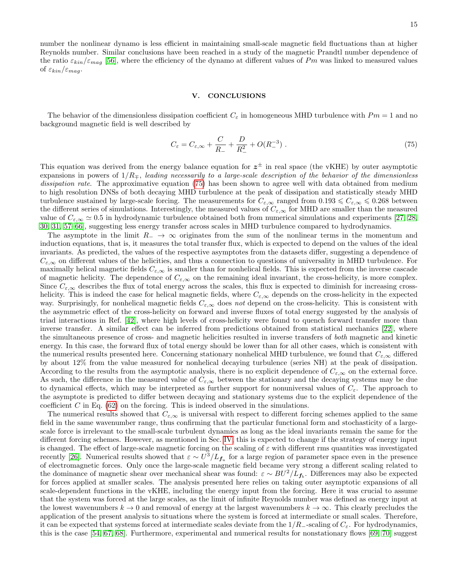number the nonlinear dynamo is less efficient in maintaining small-scale magnetic field fluctuations than at higher Reynolds number. Similar conclusions have been reached in a study of the magnetic Prandtl number dependence of the ratio  $\varepsilon_{kin}/\varepsilon_{mag}$  [\[56\]](#page-16-30), where the efficiency of the dynamo at different values of Pm was linked to measured values of  $\varepsilon_{kin}/\varepsilon_{mag}$ .

# <span id="page-14-0"></span>V. CONCLUSIONS

The behavior of the dimensionless dissipation coefficient  $C_{\varepsilon}$  in homogeneous MHD turbulence with  $Pm = 1$  and no background magnetic field is well described by

<span id="page-14-1"></span>
$$
C_{\varepsilon} = C_{\varepsilon,\infty} + \frac{C}{R_{-}} + \frac{D}{R_{-}^{2}} + O(R_{-}^{-3}).
$$
\n(75)

This equation was derived from the energy balance equation for  $z^{\pm}$  in real space (the vKHE) by outer asymptotic expansions in powers of  $1/R<sub>π</sub>$ , leading necessarily to a large-scale description of the behavior of the dimensionless dissipation rate. The approximative equation [\(75\)](#page-14-1) has been shown to agree well with data obtained from medium to high resolution DNSs of both decaying MHD turbulence at the peak of dissipation and statistically steady MHD turbulence sustained by large-scale forcing. The measurements for  $C_{\varepsilon,\infty}$  ranged from  $0.193 \leq C_{\varepsilon,\infty} \leq 0.268$  between the different series of simulations. Interestingly, the measured values of  $C_{\varepsilon,\infty}$  for MHD are smaller than the measured value of  $C_{\varepsilon,\infty} \simeq 0.5$  in hydrodynamic turbulence obtained both from numerical simulations and experiments [\[27,](#page-16-3) [28,](#page-16-31) [30,](#page-16-5) [31,](#page-16-32) [57](#page-16-33)[–66\]](#page-16-34), suggesting less energy transfer across scales in MHD turbulence compared to hydrodynamics.

The asymptote in the limit  $R_$  → ∞ originates from the sum of the nonlinear terms in the momentum and induction equations, that is, it measures the total transfer flux, which is expected to depend on the values of the ideal invariants. As predicted, the values of the respective asymptotes from the datasets differ, suggesting a dependence of  $C_{\varepsilon,\infty}$  on different values of the helicities, and thus a connection to questions of universality in MHD turbulence. For maximally helical magnetic fields  $C_{\varepsilon,\infty}$  is smaller than for nonhelical fields. This is expected from the inverse cascade of magnetic helicity. The dependence of  $C_{\varepsilon,\infty}$  on the remaining ideal invariant, the cross-helicity, is more complex. Since  $C_{\varepsilon,\infty}$  describes the flux of total energy across the scales, this flux is expected to diminish for increasing crosshelicity. This is indeed the case for helical magnetic fields, where  $C_{\varepsilon,\infty}$  depends on the cross-helicity in the expected way. Surprisingly, for nonhelical magnetic fields  $C_{\varepsilon,\infty}$  does not depend on the cross-helicity. This is consistent with the asymmetric effect of the cross-helicity on forward and inverse fluxes of total energy suggested by the analysis of triad interactions in Ref. [\[42\]](#page-16-17), where high levels of cross-helicity were found to quench forward transfer more than inverse transfer. A similar effect can be inferred from predictions obtained from statistical mechanics [\[22\]](#page-16-1), where the simultaneous presence of cross- and magnetic helicities resulted in inverse transfers of both magnetic and kinetic energy. In this case, the forward flux of total energy should be lower than for all other cases, which is consistent with the numerical results presented here. Concerning stationary nonhelical MHD turbulence, we found that  $C_{\varepsilon,\infty}$  differed by about 12% from the value measured for nonhelical decaying turbulence (series NH) at the peak of dissipation. According to the results from the asymptotic analysis, there is no explicit dependence of  $C_{\varepsilon,\infty}$  on the external force. As such, the difference in the measured value of  $C_{\varepsilon,\infty}$  between the stationary and the decaying systems may be due to dynamical effects, which may be interpreted as further support for nonuniversal values of  $C_{\varepsilon}$ . The approach to the asymptote is predicted to differ between decaying and stationary systems due to the explicit dependence of the coefficient  $C$  in Eq. [\(62\)](#page-7-0) on the forcing. This is indeed observed in the simulations.

The numerical results showed that  $C_{\varepsilon,\infty}$  is universal with respect to different forcing schemes applied to the same field in the same wavenumber range, thus confirming that the particular functional form and stochasticity of a largescale force is irrelevant to the small-scale turbulent dynamics as long as the ideal invariants remain the same for the different forcing schemes. However, as mentioned in Sec. [IV,](#page-9-0) this is expected to change if the strategy of energy input is changed. The effect of large-scale magnetic forcing on the scaling of  $\varepsilon$  with different rms quantities was investigated recently [\[26\]](#page-16-2). Numerical results showed that  $\varepsilon \sim U^3/L_{f_u}$  for a large region of parameter space even in the presence of electromagnetic forces. Only once the large-scale magnetic field became very strong a different scaling related to the dominance of magnetic shear over mechanical shear was found:  $\varepsilon \sim BU^2/L_{f_b}$ . Differences may also be expected for forces applied at smaller scales. The analysis presented here relies on taking outer asymptotic expansions of all scale-dependent functions in the vKHE, including the energy input from the forcing. Here it was crucial to assume that the system was forced at the large scales, as the limit of infinite Reynolds number was defined as energy input at the lowest wavenumbers  $k \to 0$  and removal of energy at the largest wavenumbers  $k \to \infty$ . This clearly precludes the application of the present analysis to situations where the system is forced at intermediate or small scales. Therefore, it can be expected that systems forced at intermediate scales deviate from the  $1/R_-\text{-scaling of }C_\epsilon$ . For hydrodynamics, this is the case [\[54,](#page-16-28) [67,](#page-16-35) [68\]](#page-16-36). Furthermore, experimental and numerical results for nonstationary flows [\[69,](#page-16-37) [70\]](#page-17-0) suggest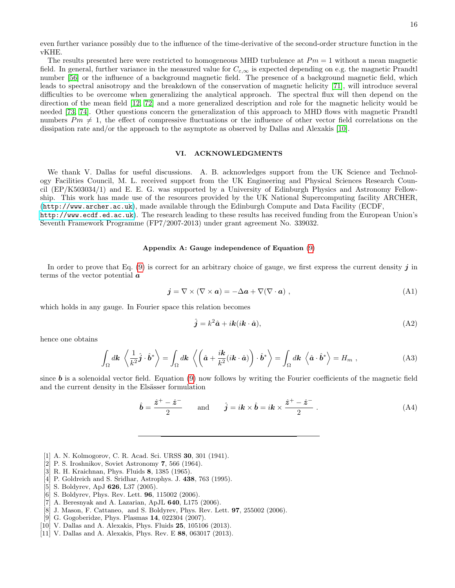even further variance possibly due to the influence of the time-derivative of the second-order structure function in the vKHE.

The results presented here were restricted to homogeneous MHD turbulence at  $Pm = 1$  without a mean magnetic field. In general, further variance in the measured value for  $C_{\varepsilon,\infty}$  is expected depending on e.g. the magnetic Prandtl number [\[56\]](#page-16-30) or the influence of a background magnetic field. The presence of a background magnetic field, which leads to spectral anisotropy and the breakdown of the conservation of magnetic helicity [\[71\]](#page-17-1), will introduce several difficulties to be overcome when generalizing the analytical approach. The spectral flux will then depend on the direction of the mean field [\[12,](#page-16-13) [72\]](#page-17-2) and a more generalized description and role for the magnetic helicity would be needed [\[73,](#page-17-3) [74\]](#page-17-4). Other questions concern the generalization of this approach to MHD flows with magnetic Prandtl numbers  $Pm \neq 1$ , the effect of compressive fluctuations or the influence of other vector field correlations on the dissipation rate and/or the approach to the asymptote as observed by Dallas and Alexakis [\[10\]](#page-15-3).

### VI. ACKNOWLEDGMENTS

We thank V. Dallas for useful discussions. A. B. acknowledges support from the UK Science and Technology Facilities Council, M. L. received support from the UK Engineering and Physical Sciences Research Council (EP/K503034/1) and E. E. G. was supported by a University of Edinburgh Physics and Astronomy Fellowship. This work has made use of the resources provided by the UK National Supercomputing facility ARCHER, (<http://www.archer.ac.uk>), made available through the Edinburgh Compute and Data Facility (ECDF, <http://www.ecdf.ed.ac.uk>). The research leading to these results has received funding from the European Union's

#### <span id="page-15-5"></span>Appendix A: Gauge independence of Equation [\(9\)](#page-2-0)

In order to prove that Eq.  $(9)$  is correct for an arbitrary choice of gauge, we first express the current density j in terms of the vector potential a

$$
\mathbf{j} = \nabla \times (\nabla \times \mathbf{a}) = -\Delta \mathbf{a} + \nabla (\nabla \cdot \mathbf{a}) \tag{A1}
$$

which holds in any gauge. In Fourier space this relation becomes

Seventh Framework Programme (FP7/2007-2013) under grant agreement No. 339032.

$$
\hat{j} = k^2 \hat{a} + i k (ik \cdot \hat{a}),\tag{A2}
$$

hence one obtains

$$
\int_{\Omega} d\mathbf{k} \left\langle \frac{1}{k^2} \hat{\mathbf{j}} \cdot \hat{\mathbf{b}}^* \right\rangle = \int_{\Omega} d\mathbf{k} \left\langle \left( \hat{\mathbf{a}} + \frac{i\mathbf{k}}{k^2} (i\mathbf{k} \cdot \hat{\mathbf{a}}) \right) \cdot \hat{\mathbf{b}}^* \right\rangle = \int_{\Omega} d\mathbf{k} \left\langle \hat{\mathbf{a}} \cdot \hat{\mathbf{b}}^* \right\rangle = H_m , \qquad (A3)
$$

since  $\boldsymbol{b}$  is a solenoidal vector field. Equation [\(9\)](#page-2-0) now follows by writing the Fourier coefficients of the magnetic field and the current density in the Elsässer formulation

$$
\hat{\boldsymbol{b}} = \frac{\hat{\boldsymbol{z}}^+ - \hat{\boldsymbol{z}}^-}{2} \quad \text{and} \quad \hat{\boldsymbol{j}} = i\boldsymbol{k} \times \hat{\boldsymbol{b}} = i\boldsymbol{k} \times \frac{\hat{\boldsymbol{z}}^+ - \hat{\boldsymbol{z}}^-}{2} \ . \tag{A4}
$$

- <span id="page-15-0"></span>[1] A. N. Kolmogorov, C. R. Acad. Sci. URSS 30, 301 (1941).
- <span id="page-15-1"></span>[2] P. S. Iroshnikov, Soviet Astronomy 7, 566 (1964).
- [3] R. H. Kraichnan, Phys. Fluids 8, 1385 (1965).
- [4] P. Goldreich and S. Sridhar, Astrophys. J. 438, 763 (1995).
- [5] S. Boldyrev, ApJ 626, L37 (2005).
- [6] S. Boldyrev, Phys. Rev. Lett. 96, 115002 (2006).
- [7] A. Beresnyak and A. Lazarian, ApJL 640, L175 (2006).
- [8] J. Mason, F. Cattaneo, and S. Boldyrev, Phys. Rev. Lett. 97, 255002 (2006).
- <span id="page-15-2"></span>[9] G. Gogoberidze, Phys. Plasmas 14, 022304 (2007).
- <span id="page-15-3"></span>[10] V. Dallas and A. Alexakis, Phys. Fluids **25**, 105106 (2013).
- <span id="page-15-4"></span>[11] V. Dallas and A. Alexakis, Phys. Rev. E 88, 063017 (2013).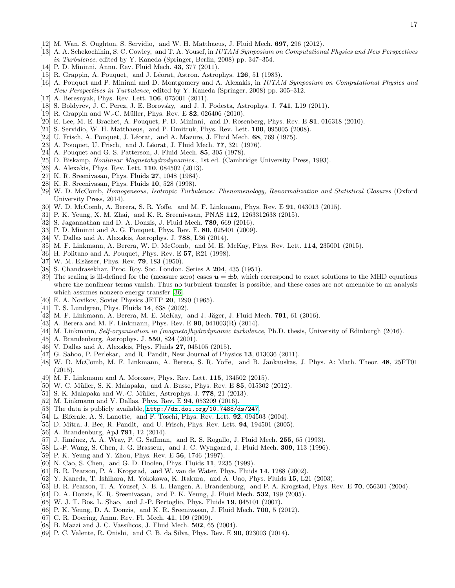- <span id="page-16-13"></span>[12] M. Wan, S. Oughton, S. Servidio, and W. H. Matthaeus, J. Fluid Mech. 697, 296 (2012).
- [13] A. A. Schekochihin, S. C. Cowley, and T. A. Yousef, in IUTAM Symposium on Computational Physics and New Perspectives in Turbulence, edited by Y. Kaneda (Springer, Berlin, 2008) pp. 347–354.
- [14] P. D. Mininni, Annu. Rev. Fluid Mech. 43, 377 (2011).
- [15] R. Grappin, A. Pouquet, and J. Léorat, Astron. Astrophys. 126, 51 (1983).
- [16] A. Pouquet and P. Mininni and D. Montgomery and A. Alexakis, in IUTAM Symposium on Computational Physics and New Perspectives in Turbulence, edited by Y. Kaneda (Springer, 2008) pp. 305–312.
- [17] A. Beresnyak, Phys. Rev. Lett. **106**, 075001 (2011).
- [18] S. Boldyrev, J. C. Perez, J. E. Borovsky, and J. J. Podesta, Astrophys. J. 741, L19 (2011).
- [19] R. Grappin and W.-C. Müller, Phys. Rev. E **82**, 026406 (2010).
- [20] E. Lee, M. E. Brachet, A. Pouquet, P. D. Mininni, and D. Rosenberg, Phys. Rev. E 81, 016318 (2010).
- <span id="page-16-0"></span>[21] S. Servidio, W. H. Matthaeus, and P. Dmitruk, Phys. Rev. Lett. 100, 095005 (2008).
- <span id="page-16-1"></span> $[22]$  U. Frisch, A. Pouquet, J. Léorat, and A. Mazure, J. Fluid Mech. 68, 769 (1975).
- $[23]$  A. Pouquet, U. Frisch, and J. Léorat, J. Fluid Mech. 77, 321 (1976).
- [24] A. Pouquet and G. S. Patterson, J. Fluid Mech. 85, 305 (1978).
- <span id="page-16-16"></span>[25] D. Biskamp, *Nonlinear Magnetohydrodynamics.*, 1st ed. (Cambridge University Press, 1993).
- <span id="page-16-2"></span>[26] A. Alexakis, Phys. Rev. Lett. **110**, 084502 (2013).
- <span id="page-16-3"></span>[27] K. R. Sreenivasan, Phys. Fluids 27, 1048 (1984).
- <span id="page-16-31"></span>[28] K. R. Sreenivasan, Phys. Fluids 10, 528 (1998).
- [29] W. D. McComb, Homogeneous, Isotropic Turbulence: Phenomenology, Renormalization and Statistical Closures (Oxford University Press, 2014).
- <span id="page-16-5"></span>[30] W. D. McComb, A. Berera, S. R. Yoffe, and M. F. Linkmann, Phys. Rev. E 91, 043013 (2015).
- <span id="page-16-32"></span>[31] P. K. Yeung, X. M. Zhai, and K. R. Sreenivasan, PNAS 112, 1263312638 (2015).
- <span id="page-16-4"></span>[32] S. Jagannathan and D. A. Donzis, J. Fluid Mech. 789, 669 (2016).
- <span id="page-16-6"></span>[33] P. D. Mininni and A. G. Pouquet, Phys. Rev. E. 80, 025401 (2009).
- <span id="page-16-7"></span>[34] V. Dallas and A. Alexakis, Astrophys. J. 788, L36 (2014).
- <span id="page-16-8"></span>[35] M. F. Linkmann, A. Berera, W. D. McComb, and M. E. McKay, Phys. Rev. Lett. 114, 235001 (2015).
- <span id="page-16-9"></span>[36] H. Politano and A. Pouquet, Phys. Rev. E **57**, R21 (1998).
- <span id="page-16-10"></span>[37] W. M. Elsässer, Phys. Rev. **79**, 183 (1950).
- <span id="page-16-11"></span>[38] S. Chandrasekhar, Proc. Roy. Soc. London. Series A 204, 435 (1951).
- <span id="page-16-12"></span>[39] The scaling is ill-defined for the (measure zero) cases  $u = \pm b$ , which correspond to exact solutions to the MHD equations where the nonlinear terms vanish. Thus no turbulent transfer is possible, and these cases are not amenable to an analysis which assumes nonzero energy transfer [\[36\]](#page-16-9).
- <span id="page-16-14"></span>[40] E. A. Novikov, Soviet Physics JETP 20, 1290 (1965).
- <span id="page-16-15"></span>[41] T. S. Lundgren, Phys. Fluids 14, 638 (2002).
- <span id="page-16-17"></span>[42] M. F. Linkmann, A. Berera, M. E. McKay, and J. Jäger, J. Fluid Mech. **791**, 61 (2016).
- <span id="page-16-18"></span>[43] A. Berera and M. F. Linkmann, Phys. Rev. E 90, 041003(R) (2014).
- <span id="page-16-19"></span>[44] M. Linkmann, Self-organisation in (magneto)hydrodynamic turbulence, Ph.D. thesis, University of Edinburgh (2016).
- <span id="page-16-20"></span>[45] A. Brandenburg, Astrophys. J. **550**, 824 (2001).
- <span id="page-16-21"></span>[46] V. Dallas and A. Alexakis, Phys. Fluids **27**, 045105 (2015).
- <span id="page-16-22"></span>[47] G. Sahoo, P. Perlekar, and R. Pandit, New Journal of Physics 13, 013036 (2011).
- <span id="page-16-24"></span>[48] W. D. McComb, M. F. Linkmann, A. Berera, S. R. Yoffe, and B. Jankauskas, J. Phys. A: Math. Theor. 48, 25FT01 (2015).
- <span id="page-16-25"></span>[49] M. F. Linkmann and A. Morozov, Phys. Rev. Lett. 115, 134502 (2015).
- <span id="page-16-26"></span>[50] W. C. M¨uller, S. K. Malapaka, and A. Busse, Phys. Rev. E 85, 015302 (2012).
- [51] S. K. Malapaka and W.-C. Müller, Astrophys. J.  $778$ , 21 (2013).
- <span id="page-16-27"></span>[52] M. Linkmann and V. Dallas, Phys. Rev. E 94, 053209 (2016).
- <span id="page-16-23"></span>[53] The data is publicly available, <http://dx.doi.org/10.7488/ds/247>.
- <span id="page-16-28"></span>[54] L. Biferale, A. S. Lanotte, and F. Toschi, Phys. Rev. Lett. 92, 094503 (2004).
- <span id="page-16-29"></span>[55] D. Mitra, J. Bec, R. Pandit, and U. Frisch, Phys. Rev. Lett. 94, 194501 (2005).
- <span id="page-16-30"></span>[56] A. Brandenburg, ApJ **791**, 12 (2014).
- <span id="page-16-33"></span>[57] J. Jiménez, A. A. Wray, P. G. Saffman, and R. S. Rogallo, J. Fluid Mech. 255, 65 (1993).
- [58] L.-P. Wang, S. Chen, J. G. Brasseur, and J. C. Wyngaard, J. Fluid Mech. 309, 113 (1996).
- [59] P. K. Yeung and Y. Zhou, Phys. Rev. E 56, 1746 (1997).
- [60] N. Cao, S. Chen, and G. D. Doolen, Phys. Fluids 11, 2235 (1999).
- [61] B. R. Pearson, P. A. Krogstad, and W. van de Water, Phys. Fluids 14, 1288 (2002).
- [62] Y. Kaneda, T. Ishihara, M. Yokokawa, K. Itakura, and A. Uno, Phys. Fluids 15, L21 (2003).
- [63] B. R. Pearson, T. A. Yousef, N. E. L. Haugen, A. Brandenburg, and P. A. Krogstad, Phys. Rev. E 70, 056301 (2004).
- [64] D. A. Donzis, K. R. Sreenivasan, and P. K. Yeung, J. Fluid Mech. 532, 199 (2005).
- [65] W. J. T. Bos, L. Shao, and J.-P. Bertoglio, Phys. Fluids 19, 045101 (2007).
- <span id="page-16-34"></span>[66] P. K. Yeung, D. A. Donzis, and K. R. Sreenivasan, J. Fluid Mech. 700, 5 (2012).
- <span id="page-16-35"></span>[67] C. R. Doering, Annu. Rev. Fl. Mech. 41, 109 (2009).
- <span id="page-16-36"></span>[68] B. Mazzi and J. C. Vassilicos, J. Fluid Mech. **502**, 65 (2004).
- <span id="page-16-37"></span>[69] P. C. Valente, R. Onishi, and C. B. da Silva, Phys. Rev. E 90, 023003 (2014).